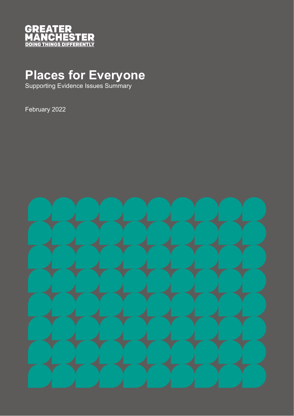

# **Places for Everyone**

Supporting Evidence Issues Summary

February 2022

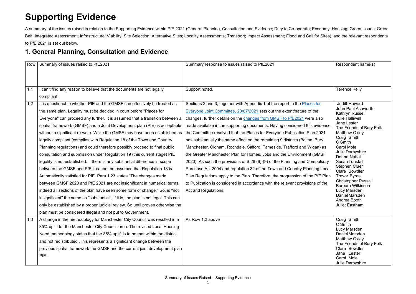## **Supporting Evidence**

A summary of the issues raised in relation to the Supporting Evidence within PfE 2021 (General Planning, Consultation and Evidence; Duty to Co-operate; Economy; Housing; Green Issues; Green Belt; Integrated Assessment; Infrastructure; Viability; Site Selection; Alternative Sites; Locality Assessments; Transport; Impact Assessment; Flood and Call for Sites), and the relevant respondents to PfE 2021 is set out below.

#### **1. General Planning, Consultation and Evidence**

| Row | Summary of issues raised to PfE2021                                                 | Summary response to issues raised to PfE2021                                   | Respondent name(s)                                     |
|-----|-------------------------------------------------------------------------------------|--------------------------------------------------------------------------------|--------------------------------------------------------|
|     |                                                                                     |                                                                                |                                                        |
|     |                                                                                     |                                                                                |                                                        |
| 1.1 | can't find any reason to believe that the documents are not legally                 | Support noted.                                                                 | <b>Terence Kelly</b>                                   |
|     | compliant.                                                                          |                                                                                |                                                        |
| 1.2 | It is questionable whether PfE and the GMSF can effectively be treated as           | Sections 2 and 3, together with Appendix 1 of the report to the Places for     | <b>JudithHoward</b>                                    |
|     | the same plan. Legality must be decided in court before "Places for                 | Everyone Joint Committee, 20/07/2021 sets out the extent/nature of the         | John Paul Ashworth<br>Kathryn Russell                  |
|     | Everyone" can proceed any further. It is assumed that a transition between a        | changes, further details on the changes from GMSF to PfE2021 were also         | <b>Julie Halliwell</b>                                 |
|     | spatial framework (GMSF) and a Joint Development plan (PfE) is acceptable           | made available in the supporting documents. Having considered this evidence,   | <b>Jane Lester</b><br>The Friends of Bury Folk         |
|     | without a significant re-write. While the GMSF may have been established as         | the Committee resolved that the Places for Everyone Publication Plan 2021      | <b>Matthew Oxley</b>                                   |
|     | legally compliant (complies with Regulation 18 of the Town and Country              | has substantially the same effect on the remaining 9 districts (Bolton, Bury,  | Craig Smith<br>C Smith                                 |
|     | Planning regulations) and could therefore possibly proceed to final public          | Manchester, Oldham, Rochdale, Salford, Tameside, Trafford and Wigan) as        | <b>Carol Mole</b>                                      |
|     | consultation and submission under Regulation 19 (this current stage) PfE            | the Greater Manchester Plan for Homes, Jobs and the Environment (GMSF          | Julie Darbyshire<br><b>Donna Nuttall</b>               |
|     | legality is not established. If there is any substantial difference in scope        | 2020). As such the provisions of S.28 (6)-(9) of the Planning and Compulsory   | <b>Susan Tunstall</b>                                  |
|     | between the GMSF and PfE it cannot be assumed that Regulation 18 is                 | Purchase Act 2004 and regulation 32 of the Town and Country Planning Local     | <b>Stephen Cluer</b><br>Clare Bowdler                  |
|     | Automatically satisfied for PfE. Para 1.23 states "The changes made                 | Plan Regulations apply to the Plan. Therefore, the progression of the PfE Plan | <b>Trevor Byrne</b>                                    |
|     | between GMSF 2020 and PfE 2021 are not insignificant in numerical terms,            | to Publication is considered in accordance with the relevant provisions of the | <b>Christopher Russell</b><br><b>Barbara Wilkinson</b> |
|     | indeed all sections of the plan have seen some form of change." So, is "not         | Act and Regulations.                                                           | Lucy Marsden                                           |
|     | insignificant" the same as "substantial", if it is, the plan is not legal. This can |                                                                                | Daniel Marsden<br>Andrea Booth                         |
|     | only be established by a proper judicial review. So until proven otherwise the      |                                                                                | <b>Juliet Eastham</b>                                  |
|     | plan must be considered illegal and not put to Government.                          |                                                                                |                                                        |
| 1.3 | A change in the methodology for Manchester City Council was resulted in a           | As Row 1.2 above                                                               | Craig Smith                                            |
|     | 35% uplift for the Manchester City Council area. The revised Local Housing          |                                                                                | C Smith<br>Lucy Marsden                                |
|     | Need methodology states that the 35% uplift is to be met within the district        |                                                                                | Daniel Marsden                                         |
|     | and not redistributed . This represents a significant change between the            |                                                                                | <b>Matthew Oxley</b><br>The Friends of Bury Folk       |
|     | previous spatial framework the GMSF and the current joint development plan          |                                                                                | Clare Bowdler                                          |
|     | PfE.                                                                                |                                                                                | Jane Lester                                            |
|     |                                                                                     |                                                                                | Carol Mole<br>Julie Darbyshire                         |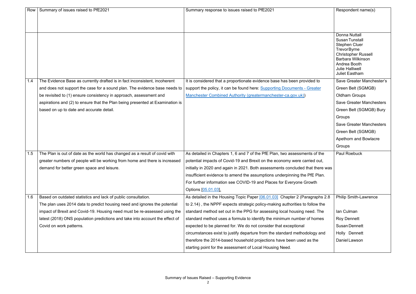| Row | Summary of issues raised to PfE2021                                           | Summary response to issues raised to PfE2021                                   | Respondent name(s)                         |
|-----|-------------------------------------------------------------------------------|--------------------------------------------------------------------------------|--------------------------------------------|
|     |                                                                               |                                                                                |                                            |
|     |                                                                               |                                                                                |                                            |
|     |                                                                               |                                                                                |                                            |
|     |                                                                               |                                                                                | <b>Donna Nuttall</b>                       |
|     |                                                                               |                                                                                | <b>Susan Tunstall</b>                      |
|     |                                                                               |                                                                                | <b>Stephen Cluer</b><br><b>TrevorByrne</b> |
|     |                                                                               |                                                                                | <b>Christopher Russell</b>                 |
|     |                                                                               |                                                                                | <b>Barbara Wilkinson</b><br>Andrea Booth   |
|     |                                                                               |                                                                                | <b>Julie Halliwell</b>                     |
|     |                                                                               |                                                                                | <b>Juliet Eastham</b>                      |
| 1.4 | The Evidence Base as currently drafted is in fact inconsistent, incoherent    | It is considered that a proportionate evidence base has been provided to       | Save Greater Manchester's                  |
|     | and does not support the case for a sound plan. The evidence base needs to    | support the policy, it can be found here: Supporting Documents - Greater       | Green Belt (SGMGB)                         |
|     | be revisited to (1) ensure consistency in approach, assessment and            | Manchester Combined Authority (greatermanchester-ca.gov.uk))                   | <b>Oldham Groups</b>                       |
|     | aspirations and (2) to ensure that the Plan being presented at Examination is |                                                                                | <b>Save Greater Manchesters</b>            |
|     | based on up to date and accurate detail.                                      |                                                                                | Green Belt (SGMGB) Bury                    |
|     |                                                                               |                                                                                | Groups                                     |
|     |                                                                               |                                                                                | <b>Save Greater Manchesters</b>            |
|     |                                                                               |                                                                                | Green Belt (SGMGB)                         |
|     |                                                                               |                                                                                | Apethorn and Bowlacre                      |
|     |                                                                               |                                                                                | Groups                                     |
| 1.5 | The Plan is out of date as the world has changed as a result of covid with    | As detailed in Chapters 1, 6 and 7 of the PfE Plan, two assessments of the     | <b>Paul Roebuck</b>                        |
|     | greater numbers of people will be working from home and there is increased    | potential impacts of Covid-19 and Brexit on the economy were carried out,      |                                            |
|     | demand for better green space and leisure.                                    | initially in 2020 and again in 2021. Both assessments concluded that there was |                                            |
|     |                                                                               | insufficient evidence to amend the assumptions underpinning the PfE Plan.      |                                            |
|     |                                                                               | For further information see COVID-19 and Places for Everyone Growth            |                                            |
|     |                                                                               | Options [05.01.03]                                                             |                                            |
| 1.6 | Based on outdated statistics and lack of public consultation.                 | As detailed in the Housing Topic Paper [06.01.03] Chapter 2 (Paragraphs 2.8    | <b>Philip Smith-Lawrence</b>               |
|     | The plan uses 2014 data to predict housing need and ignores the potential     | to 2.14), the NPPF expects strategic policy-making authorities to follow the   |                                            |
|     | impact of Brexit and Covid-19. Housing need must be re-assessed using the     | standard method set out in the PPG for assessing local housing need. The       | Ian Culman                                 |
|     | latest (2018) ONS population predictions and take into account the effect of  | standard method uses a formula to identify the minimum number of homes         | <b>Roy Dennett</b>                         |
|     | Covid on work patterns.                                                       | expected to be planned for. We do not consider that exceptional                | <b>Susan Dennett</b>                       |
|     |                                                                               | circumstances exist to justify departure from the standard methodology and     | Holly Dennett                              |
|     |                                                                               | therefore the 2014-based household projections have been used as the           | Daniel Lawson                              |
|     |                                                                               | starting point for the assessment of Local Housing Need.                       |                                            |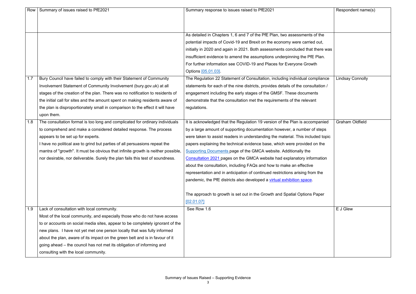| Row | Summary of issues raised to PfE2021                                              | Summary response to issues raised to PfE2021                                      | Respondent name(s)      |
|-----|----------------------------------------------------------------------------------|-----------------------------------------------------------------------------------|-------------------------|
|     |                                                                                  |                                                                                   |                         |
|     |                                                                                  |                                                                                   |                         |
|     |                                                                                  | As detailed in Chapters 1, 6 and 7 of the PfE Plan, two assessments of the        |                         |
|     |                                                                                  | potential impacts of Covid-19 and Brexit on the economy were carried out,         |                         |
|     |                                                                                  | initially in 2020 and again in 2021. Both assessments concluded that there was    |                         |
|     |                                                                                  | insufficient evidence to amend the assumptions underpinning the PfE Plan.         |                         |
|     |                                                                                  | For further information see COVID-19 and Places for Everyone Growth               |                         |
|     |                                                                                  | Options [05.01.03]                                                                |                         |
| 1.7 | Bury Council have failed to comply with their Statement of Community             | The Regulation 22 Statement of Consultation, including individual compliance      | <b>Lindsay Connolly</b> |
|     | Involvement Statement of Community Involvement (bury.gov.uk) at all              | statements for each of the nine districts, provides details of the consultation / |                         |
|     | stages of the creation of the plan. There was no notification to residents of    | engagement including the early stages of the GMSF. These documents                |                         |
|     | the initial call for sites and the amount spent on making residents aware of     | demonstrate that the consultation met the requirements of the relevant            |                         |
|     | the plan is disproportionately small in comparison to the effect it will have    | regulations.                                                                      |                         |
|     | upon them.                                                                       |                                                                                   |                         |
| 1.8 | The consultation format is too long and complicated for ordinary individuals     | It is acknowledged that the Regulation 19 version of the Plan is accompanied      | <b>Graham Oldfield</b>  |
|     | to comprehend and make a considered detailed response. The process               | by a large amount of supporting documentation however, a number of steps          |                         |
|     | appears to be set up for experts.                                                | were taken to assist readers in understanding the material. This included topic   |                         |
|     | I have no political axe to grind but parties of all persuasions repeat the       | papers explaining the technical evidence base, which were provided on the         |                         |
|     | mantra of "growth". It must be obvious that infinite growth is neither possible, | Supporting Documents page of the GMCA website. Additionally the                   |                         |
|     | nor desirable, nor deliverable. Surely the plan fails this test of soundness.    | Consultation 2021 pages on the GMCA website had explanatory information           |                         |
|     |                                                                                  | about the consultation, including FAQs and how to make an effective               |                         |
|     |                                                                                  | representation and in anticipation of continued restrictions arising from the     |                         |
|     |                                                                                  | pandemic, the PfE districts also developed a virtual exhibition space.            |                         |
|     |                                                                                  | The approach to growth is set out in the Growth and Spatial Options Paper         |                         |
|     |                                                                                  | [02.01.07]                                                                        |                         |
| 1.9 | Lack of consultation with local community.                                       | See Row 1.6                                                                       | E J Glew                |
|     | Most of the local community, and especially those who do not have access         |                                                                                   |                         |
|     | to or accounts on social media sites, appear to be completely ignorant of the    |                                                                                   |                         |
|     | new plans. I have not yet met one person locally that was fully informed         |                                                                                   |                         |
|     | about the plan, aware of its impact on the green belt and is in favour of it     |                                                                                   |                         |
|     | going ahead – the council has not met its obligation of informing and            |                                                                                   |                         |
|     | consulting with the local community.                                             |                                                                                   |                         |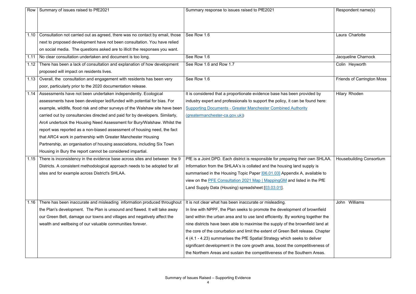| Row  | Summary of issues raised to PfE2021                                           | Summary response to issues raised to PfE2021                                    | Respondent name(s)                |
|------|-------------------------------------------------------------------------------|---------------------------------------------------------------------------------|-----------------------------------|
|      |                                                                               |                                                                                 |                                   |
|      |                                                                               |                                                                                 |                                   |
|      |                                                                               |                                                                                 |                                   |
| 1.10 | Consultation not carried out as agreed, there was no contact by email, those  | See Row 1.6                                                                     | Laura Charlotte                   |
|      | next to proposed development have not been consultation. You have relied      |                                                                                 |                                   |
|      | on social media. The questions asked are to illicit the responses you want.   |                                                                                 |                                   |
| 1.11 | No clear consultation undertaken and document is too long.                    | See Row 1.6                                                                     | Jacqueline Charnock               |
| 1.12 | There has been a lack of consultation and explanation of how development      | See Row 1.6 and Row 1.7                                                         | Colin Heyworth                    |
|      | proposed will impact on residents lives.                                      |                                                                                 |                                   |
| 1.13 | Overall, the consultation and engagement with residents has been very         | See Row 1.6                                                                     | <b>Friends of Carrington Moss</b> |
|      | poor, particularly prior to the 2020 documentation release.                   |                                                                                 |                                   |
| 1.14 | Assessments have not been undertaken independently. Ecological                | It is considered that a proportionate evidence base has been provided by        | <b>Hilary Rhoden</b>              |
|      | assessments have been developer led/funded with potential for bias. For       | industry expert and professionals to support the policy, it can be found here:  |                                   |
|      | example, wildlife, flood risk and other surveys of the Walshaw site have been | <b>Supporting Documents - Greater Manchester Combined Authority</b>             |                                   |
|      | carried out by consultancies directed and paid for by developers. Similarly,  | (greatermanchester-ca.gov.uk))                                                  |                                   |
|      | Arc4 undertook the Housing Need Assessment for Bury/Walshaw. Whilst the       |                                                                                 |                                   |
|      | report was reported as a non-biased assessment of housing need, the fact      |                                                                                 |                                   |
|      | that ARC4 work in partnership with Greater Manchester Housing                 |                                                                                 |                                   |
|      | Partnership, an organisation of housing associations, including Six Town      |                                                                                 |                                   |
|      | Housing in Bury the report cannot be considered impartial.                    |                                                                                 |                                   |
| 1.15 | There is inconsistency in the evidence base across sites and between the 9    | PfE is a Joint DPD. Each district is responsible for preparing their own SHLAA. | <b>Housebuilding Consortium</b>   |
|      | Districts. A consistent methodological approach needs to be adopted for all   | Information from the SHLAA's is collated and the housing land supply is         |                                   |
|      | sites and for example across District's SHLAA.                                | summarised in the Housing Topic Paper [06.01.03] Appendix A, available to       |                                   |
|      |                                                                               | view on the PFE Consultation 2021 Map   MappingGM and listed in the PfE         |                                   |
|      |                                                                               | Land Supply Data (Housing) spreadsheet [03.03.01].                              |                                   |
|      |                                                                               |                                                                                 |                                   |
| 1.16 | There has been inaccurate and misleading information produced throughout      | It is not clear what has been inaccurate or misleading.                         | Williams<br>John                  |
|      | the Plan's development. The Plan is unsound and flawed. It will take away     | In line with NPPF, the Plan seeks to promote the development of brownfield      |                                   |
|      | our Green Belt, damage our towns and villages and negatively affect the       | land within the urban area and to use land efficiently. By working together the |                                   |
|      | wealth and wellbeing of our valuable communities forever.                     | nine districts have been able to maximise the supply of the brownfield land at  |                                   |
|      |                                                                               | the core of the conurbation and limit the extent of Green Belt release. Chapter |                                   |
|      |                                                                               | 4 (4.1 - 4.23) summarises the PfE Spatial Strategy which seeks to deliver       |                                   |
|      |                                                                               | significant development in the core growth area, boost the competitiveness of   |                                   |
|      |                                                                               | the Northern Areas and sustain the competitiveness of the Southern Areas.       |                                   |
|      |                                                                               |                                                                                 |                                   |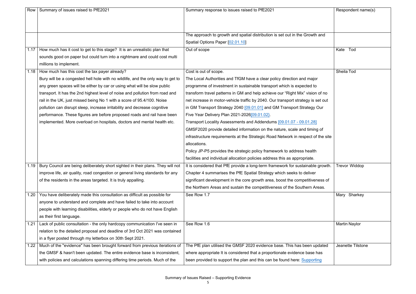|      | Row   Summary of issues raised to PfE2021                                              | Summary response to issues raised to PfE2021                                     | Respondent name(s)   |
|------|----------------------------------------------------------------------------------------|----------------------------------------------------------------------------------|----------------------|
|      |                                                                                        |                                                                                  |                      |
|      |                                                                                        |                                                                                  |                      |
|      |                                                                                        | The approach to growth and spatial distribution is set out in the Growth and     |                      |
|      |                                                                                        | Spatial Options Paper [02.01.10]                                                 |                      |
|      | 1.17   How much has it cost to get to this stage? It is an unrealistic plan that       | Out of scope                                                                     | Kate Tod             |
|      | sounds good on paper but could turn into a nightmare and could cost multi              |                                                                                  |                      |
|      | millions to implement.                                                                 |                                                                                  |                      |
|      | 1.18   How much has this cost the tax payer already?                                   | Cost is out of scope.                                                            | Sheila Tod           |
|      | Bury will be a congested hell hole with no wildlife, and the only way to get to        | The Local Authorities and TfGM have a clear policy direction and major           |                      |
|      | any green spaces will be either by car or using what will be slow public               | programme of investment in sustainable transport which is expected to            |                      |
|      | transport. It has the 2nd highest level of noise and pollution from road and           | transform travel patterns in GM and help achieve our "Right Mix" vision of no    |                      |
|      | rail in the UK, just missed being No 1 with a score of 95.4/100. Noise                 | net increase in motor-vehicle traffic by 2040. Our transport strategy is set out |                      |
|      | pollution can disrupt sleep, increase irritability and decrease cognitive              | in GM Transport Strategy 2040 [09.01.01] and GM Transport Strategy Our           |                      |
|      | performance. These figures are before proposed roads and rail have been                | Five Year Delivery Plan 2021-2026[09.01.02].                                     |                      |
|      | implemented. More overload on hospitals, doctors and mental health etc.                | Transport Locality Assessments and Addendums [09.01.07 - 09.01.28]               |                      |
|      |                                                                                        | GMSF2020 provide detailed information on the nature, scale and timing of         |                      |
|      |                                                                                        | infrastructure requirements at the Strategic Road Network in respect of the site |                      |
|      |                                                                                        | allocations.                                                                     |                      |
|      |                                                                                        | Policy JP-P5 provides the strategic policy framework to address health           |                      |
|      |                                                                                        | facilities and individual allocation policies address this as appropriate.       |                      |
|      | 1.19   Bury Council are being deliberately short sighted in their plans. They will not | It is considered that PfE provide a long-term framework for sustainable growth.  | <b>Trevor Widdop</b> |
|      | improve life, air quality, road congestion or general living standards for any         | Chapter 4 summarises the PfE Spatial Strategy which seeks to deliver             |                      |
|      | of the residents in the areas targeted. It is truly appalling.                         | significant development in the core growth area, boost the competitiveness of    |                      |
|      |                                                                                        | the Northern Areas and sustain the competitiveness of the Southern Areas.        |                      |
|      | 1.20 You have deliberately made this consultation as difficult as possible for         | See Row 1.7                                                                      | Mary Sharkey         |
|      | anyone to understand and complete and have failed to take into account                 |                                                                                  |                      |
|      | people with learning disabilities, elderly or people who do not have English           |                                                                                  |                      |
|      | as their first language.                                                               |                                                                                  |                      |
| 1.21 | Lack of public consultation - the only hardcopy communication I've seen in             | See Row 1.6                                                                      | <b>Martin Naylor</b> |
|      | relation to the detailed proposal and deadline of 3rd Oct 2021 was contained           |                                                                                  |                      |
|      | in a flyer posted through my letterbox on 30th Sept 2021.                              |                                                                                  |                      |
|      | 1.22   Much of the "evidence" has been brought forward from previous iterations of     | The PfE plan utilised the GMSF 2020 evidence base. This has been updated         | Jeanette Tilstone    |
|      | the GMSF & hasn't been updated. The entire evidence base is inconsistent,              | where appropriate It is considered that a proportionate evidence base has        |                      |
|      | with policies and calculations spanning differing time periods. Much of the            | been provided to support the plan and this can be found here: Supporting         |                      |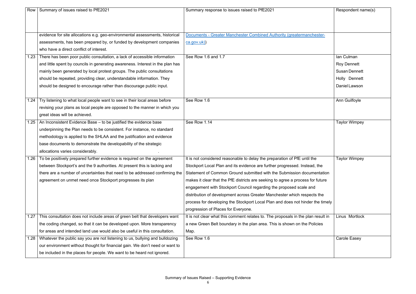| Row             | Summary of issues raised to PfE2021                                            | Summary response to issues raised to PfE2021                                      | Respondent name(s)   |
|-----------------|--------------------------------------------------------------------------------|-----------------------------------------------------------------------------------|----------------------|
|                 |                                                                                |                                                                                   |                      |
|                 |                                                                                |                                                                                   |                      |
|                 | evidence for site allocations e.g. geo-environmental assessments, historical   | <b>Documents - Greater Manchester Combined Authority (greatermanchester-</b>      |                      |
|                 | assessments, has been prepared by, or funded by development companies          | ca.gov.uk)                                                                        |                      |
|                 | who have a direct conflict of interest.                                        |                                                                                   |                      |
| $\overline{23}$ | There has been poor public consultation, a lack of accessible information      | See Row 1.6 and 1.7                                                               | lan Culman           |
|                 | and little spent by councils in generating awareness. Interest in the plan has |                                                                                   | <b>Roy Dennett</b>   |
|                 | mainly been generated by local protest groups. The public consultations        |                                                                                   | <b>Susan Dennett</b> |
|                 | should be repeated, providing clear, understandable information. They          |                                                                                   | Holly Dennett        |
|                 | should be designed to encourage rather than discourage public input.           |                                                                                   | Daniel Lawson        |
|                 |                                                                                |                                                                                   |                      |
| 1.24            | Try listening to what local people want to see in their local areas before     | See Row 1.6                                                                       | Ann Guilfoyle        |
|                 | revising your plans as local people are opposed to the manner in which you     |                                                                                   |                      |
|                 | great ideas will be achieved.                                                  |                                                                                   |                      |
| 1.25            | An Inconsistent Evidence Base - to be justified the evidence base              | See Row 1.14                                                                      | <b>Taylor Wimpey</b> |
|                 | underpinning the Plan needs to be consistent. For instance, no standard        |                                                                                   |                      |
|                 | methodology is applied to the SHLAA and the justification and evidence         |                                                                                   |                      |
|                 | base documents to demonstrate the developability of the strategic              |                                                                                   |                      |
|                 | allocations varies considerably.                                               |                                                                                   |                      |
| .26             | To be positively prepared further evidence is required on the agreement        | It is not considered reasonable to delay the preparation of PfE until the         | <b>Taylor Wimpey</b> |
|                 | between Stockport's and the 9 authorities. At present this is lacking and      | Stockport Local Plan and its evidence are further progressed. Instead, the        |                      |
|                 | there are a number of uncertainties that need to be addressed confirming the   | Statement of Common Ground submitted with the Submission documentation            |                      |
|                 | agreement on unmet need once Stockport progresses its plan                     | makes it clear that the PfE districts are seeking to agree a process for future   |                      |
|                 |                                                                                | engagement with Stockport Council regarding the proposed scale and                |                      |
|                 |                                                                                | distribution of development across Greater Manchester which respects the          |                      |
|                 |                                                                                | process for developing the Stockport Local Plan and does not hinder the timely    |                      |
|                 |                                                                                | progression of Places for Everyone.                                               |                      |
| 1.27            | This consultation does not include areas of green belt that developers want    | It is not clear what this comment relates to. The proposals in the plan result in | Linus Mortlock       |
|                 | the coding changed, so that it can be developed upon. More transparency        | a new Green Belt boundary in the plan area. This is shown on the Policies         |                      |
|                 | for areas and intended land use would also be useful in this consultation.     | Map.                                                                              |                      |
| l.28            | Whatever the public say you are not listening to us, bullying and bulldozing   | See Row 1.6                                                                       | <b>Carole Easey</b>  |
|                 | our environment without thought for financial gain. We don't need or want to   |                                                                                   |                      |
|                 | be included in the places for people. We want to be heard not ignored.         |                                                                                   |                      |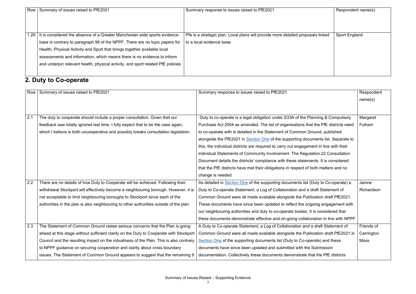| Row  | Summary of issues raised to PfE2021                                             | Summary response to issues raised to PfE2021                                     | Respondent name(s)   |
|------|---------------------------------------------------------------------------------|----------------------------------------------------------------------------------|----------------------|
|      |                                                                                 |                                                                                  |                      |
|      |                                                                                 |                                                                                  |                      |
|      |                                                                                 |                                                                                  |                      |
| 1.29 | It is considered the absence of a Greater Manchester wide sports evidence       | Pfe is a strategic plan. Local plans will provide more detailed proposals linked | <b>Sport England</b> |
|      | base is contrary to paragraph 98 of the NPPF. There are no topic papers for     | to a local evidence base.                                                        |                      |
|      | Health, Physical Activity and Sport that brings together available local        |                                                                                  |                      |
|      | assessments and information, which means there is no evidence to inform         |                                                                                  |                      |
|      | and underpin relevant health, physical activity, and sport related PfE policies |                                                                                  |                      |
|      |                                                                                 |                                                                                  |                      |

#### **2. Duty to Co-operate**

| Row | Summary of issues raised to PfE2021                                                    | Summary response to issues raised to PfE2021                                           | Respondent  |
|-----|----------------------------------------------------------------------------------------|----------------------------------------------------------------------------------------|-------------|
|     |                                                                                        |                                                                                        | name(s)     |
|     |                                                                                        |                                                                                        |             |
|     |                                                                                        |                                                                                        |             |
| 2.1 | The duty to cooperate should include a proper consultation. Given that our             | Duty to co-operate is a legal obligation under S33A of the Planning & Compulsory       | Margaret    |
|     | feedback was totally ignored last time, I fully expect that to be the case again,      | Purchase Act 2004 as amended. The list of organisations that the PfE districts need    | Fulham      |
|     | which I believe is both uncooperative and possibly breaks consultation legislation.    | to co-operate with is detailed in the Statement of Common Ground, published            |             |
|     |                                                                                        | alongside the PfE2021 in Section One of the supporting documents list. Separate to     |             |
|     |                                                                                        | this, the individual districts are required to carry out engagement in line with their |             |
|     |                                                                                        | individual Statements of Community Involvement. The Regulation 22 Consultation         |             |
|     |                                                                                        | Document details the districts' compliance with these statements. It is considered     |             |
|     |                                                                                        | that the PfE districts have met their obligations in respect of both matters and no    |             |
|     |                                                                                        | change is needed                                                                       |             |
| 2.2 | There are no details of how Duty to Cooperate will be achieved. Following their        | As detailed in Section One of the supporting documents list (Duty to Co-operate) a     | Janine      |
|     | withdrawal Stockport will effectively become a neighbouring borough. However, it is    | Duty to Co-operate Statement, a Log of Collaboration and a draft Statement of          | Richardson  |
|     | not acceptable to limit neighbouring boroughs to Stockport since each of the           | Common Ground were all made available alongside the Publication draft PfE2021.         |             |
|     | authorities in the plan is also neighbouring to other authorities outside of the plan. | These documents have since been updated to reflect the ongoing engagement with         |             |
|     |                                                                                        | our neighbouring authorities and duty to co-operate bodies. It is considered that      |             |
|     |                                                                                        | these documents demonstrate effective and on-going collaboration in line with NPPF     |             |
| 2.3 | The Statement of Common Ground raises serious concerns that the Plan is going          | A Duty to Co-operate Statement, a Log of Collaboration and a draft Statement of        | Friends of  |
|     | ahead at this stage without sufficient clarity on the Duty to Cooperate with Stockport | Common Ground were all made available alongside the Publication draft PfE2021 in       | Carrington  |
|     | Council and the resulting impact on the robustness of the Plan. This is also contrary  | Section One of the supporting documents list (Duty to Co-operate) and these            | <b>Moss</b> |
|     | to NPPF guidance on securing cooperation and clarity about cross boundary              | documents have since been updated and submitted with the Submission                    |             |
|     | issues. The Statement of Common Ground appears to suggest that the remaining 9         | documentation. Collectively these documents demonstrate that the PfE districts         |             |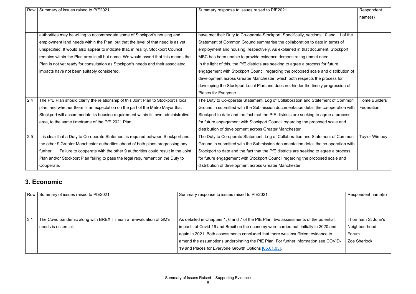| Row | Summary of issues raised to PfE2021                                                     | Summary response to issues raised to PfE2021                                         | Respondent           |
|-----|-----------------------------------------------------------------------------------------|--------------------------------------------------------------------------------------|----------------------|
|     |                                                                                         |                                                                                      | name(s)              |
|     |                                                                                         |                                                                                      |                      |
|     |                                                                                         |                                                                                      |                      |
|     | authorities may be willing to accommodate some of Stockport's housing and               | have met their Duty to Co-operate Stockport. Specifically, sections 10 and 11 of the |                      |
|     | employment land needs within the Plan, but that the level of that need is as yet        | Statement of Common Ground summarise the collaboration to date in terms of           |                      |
|     | unspecified. It would also appear to indicate that, in reality, Stockport Council       | employment and housing, respectively. As explained in that document, Stockport       |                      |
|     | remains within the Plan area in all but name. We would assert that this means the       | MBC has been unable to provide evidence demonstrating unmet need.                    |                      |
|     | Plan is not yet ready for consultation as Stockport's needs and their associated        | In the light of this, the PfE districts are seeking to agree a process for future    |                      |
|     | impacts have not been suitably considered.                                              | engagement with Stockport Council regarding the proposed scale and distribution of   |                      |
|     |                                                                                         | development across Greater Manchester, which both respects the process for           |                      |
|     |                                                                                         | developing the Stockport Local Plan and does not hinder the timely progression of    |                      |
|     |                                                                                         | Places for Everyone                                                                  |                      |
| 2.4 | The PfE Plan should clarify the relationship of this Joint Plan to Stockport's local    | The Duty to Co-operate Statement, Log of Collaboration and Statement of Common       | <b>Home Builders</b> |
|     | plan, and whether there is an expectation on the part of the Metro Mayor that           | Ground in submitted with the Submission documentation detail the co-operation with   | Federation           |
|     | Stockport will accommodate its housing requirement within its own administrative        | Stockport to date and the fact that the PfE districts are seeking to agree a process |                      |
|     | area, to the same timeframe of the PfE 2021 Plan.                                       | for future engagement with Stockport Council regarding the proposed scale and        |                      |
|     |                                                                                         | distribution of development across Greater Manchester                                |                      |
| 2.5 | It is clear that a Duty to Co-operate Statement is required between Stockport and       | The Duty to Co-operate Statement, Log of Collaboration and Statement of Common       | <b>Taylor Wimpey</b> |
|     | the other 9 Greater Manchester authorities ahead of both plans progressing any          | Ground in submitted with the Submission documentation detail the co-operation with   |                      |
|     | Failure to cooperate with the other 9 authorities could result in the Joint<br>further. | Stockport to date and the fact that the PfE districts are seeking to agree a process |                      |
|     | Plan and/or Stockport Plan failing to pass the legal requirement on the Duty to         | for future engagement with Stockport Council regarding the proposed scale and        |                      |
|     | Cooperate.                                                                              | distribution of development across Greater Manchester                                |                      |

#### **3. Economic**

|     | Row Summary of issues raised to PfE2021                           | Summary response to issues raised to PfE2021                                          | Respondent name(s) |
|-----|-------------------------------------------------------------------|---------------------------------------------------------------------------------------|--------------------|
|     |                                                                   |                                                                                       |                    |
|     |                                                                   |                                                                                       |                    |
|     |                                                                   |                                                                                       |                    |
| 3.1 | The Covid pandemic along with BREXIT mean a re-evaluation of GM's | As detailed in Chapters 1, 6 and 7 of the PfE Plan, two assessments of the potential  | Thornham St John's |
|     | needs is essential.                                               | impacts of Covid-19 and Brexit on the economy were carried out, initially in 2020 and | Neighbourhood      |
|     |                                                                   | again in 2021. Both assessments concluded that there was insufficient evidence to     | Forum              |
|     |                                                                   | amend the assumptions underpinning the PfE Plan. For further information see COVID-   | Zoe Sherlock       |
|     |                                                                   | 19 and Places for Everyone Growth Options [05.01.03].                                 |                    |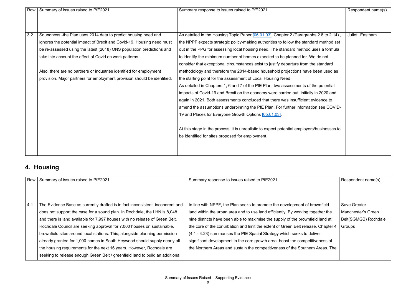| Row | Summary of issues raised to PfE2021                                      | Summary response to issues raised to PfE2021                                                | Respondent name(s) |
|-----|--------------------------------------------------------------------------|---------------------------------------------------------------------------------------------|--------------------|
|     |                                                                          |                                                                                             |                    |
|     |                                                                          |                                                                                             |                    |
| 3.2 |                                                                          |                                                                                             | Juliet Eastham     |
|     | Soundness -the Plan uses 2014 data to predict housing need and           | As detailed in the Housing Topic Paper [06.01.03] Chapter 2 (Paragraphs 2.8 to 2.14),       |                    |
|     | ignores the potential impact of Brexit and Covid-19. Housing need must   | the NPPF expects strategic policy-making authorities to follow the standard method set      |                    |
|     | be re-assessed using the latest (2018) ONS population predictions and    | out in the PPG for assessing local housing need. The standard method uses a formula         |                    |
|     | take into account the effect of Covid on work patterns.                  | to identify the minimum number of homes expected to be planned for. We do not               |                    |
|     |                                                                          | consider that exceptional circumstances exist to justify departure from the standard        |                    |
|     | Also, there are no partners or industries identified for employment      | methodology and therefore the 2014-based household projections have been used as            |                    |
|     | provision. Major partners for employment provision should be identified. | the starting point for the assessment of Local Housing Need.                                |                    |
|     |                                                                          | As detailed in Chapters 1, 6 and 7 of the PfE Plan, two assessments of the potential        |                    |
|     |                                                                          | impacts of Covid-19 and Brexit on the economy were carried out, initially in 2020 and       |                    |
|     |                                                                          | again in 2021. Both assessments concluded that there was insufficient evidence to           |                    |
|     |                                                                          | amend the assumptions underpinning the PfE Plan. For further information see COVID-         |                    |
|     |                                                                          | 19 and Places for Everyone Growth Options [05.01.03].                                       |                    |
|     |                                                                          | At this stage in the process, it is unrealistic to expect potential employers/businesses to |                    |
|     |                                                                          |                                                                                             |                    |
|     |                                                                          | be identified for sites proposed for employment.                                            |                    |
|     |                                                                          |                                                                                             |                    |
|     |                                                                          |                                                                                             |                    |

#### **4. Housing**

| Row | Summary of issues raised to PfE2021                                            | Summary response to issues raised to PfE2021                                      | Respondent name(s)   |
|-----|--------------------------------------------------------------------------------|-----------------------------------------------------------------------------------|----------------------|
|     |                                                                                |                                                                                   |                      |
|     |                                                                                |                                                                                   |                      |
| 4.1 | The Evidence Base as currently drafted is in fact inconsistent, incoherent and | In line with NPPF, the Plan seeks to promote the development of brownfield        | <b>Save Greater</b>  |
|     | does not support the case for a sound plan. In Rochdale, the LHN is 8,048      | land within the urban area and to use land efficiently. By working together the   | Manchester's Green   |
|     | and there is land available for 7,997 houses with no release of Green Belt.    | nine districts have been able to maximise the supply of the brownfield land at    | Belt(SGMGB) Rochdale |
|     | Rochdale Council are seeking approval for 7,000 houses on sustainable,         | the core of the conurbation and limit the extent of Green Belt release. Chapter 4 | Groups               |
|     | brownfield sites around local stations. This, alongside planning permission    | (4.1 - 4.23) summarises the PfE Spatial Strategy which seeks to deliver           |                      |
|     | already granted for 1,000 homes in South Heywood should supply nearly all      | significant development in the core growth area, boost the competitiveness of     |                      |
|     | the housing requirements for the next 16 years. However, Rochdale are          | the Northern Areas and sustain the competitiveness of the Southern Areas. The     |                      |
|     | seeking to release enough Green Belt / greenfield land to build an additional  |                                                                                   |                      |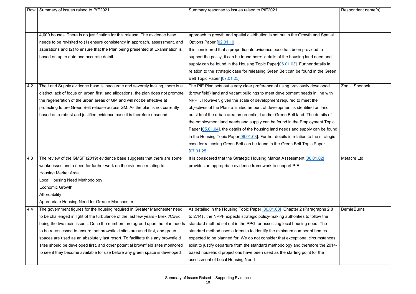| Row | Summary of issues raised to PfE2021                                               | Summary response to issues raised to PfE2021                                           | Respondent name(s)  |
|-----|-----------------------------------------------------------------------------------|----------------------------------------------------------------------------------------|---------------------|
|     |                                                                                   |                                                                                        |                     |
|     |                                                                                   |                                                                                        |                     |
|     | 4,000 houses. There is no justification for this release. The evidence base       | approach to growth and spatial distribution is set out in the Growth and Spatial       |                     |
|     | needs to be revisited to (1) ensure consistency in approach, assessment, and      | Options Paper [02.01.10]                                                               |                     |
|     | aspirations and (2) to ensure that the Plan being presented at Examination is     | It is considered that a proportionate evidence base has been provided to               |                     |
|     | based on up to date and accurate detail.                                          | support the policy, it can be found here: details of the housing land need and         |                     |
|     |                                                                                   | supply can be found in the Housing Topic Paper[06.01.03]. Further details in           |                     |
|     |                                                                                   | relation to the strategic case for releasing Green Belt can be found in the Green      |                     |
|     |                                                                                   | Belt Topic Paper [07.01.25]                                                            |                     |
| 4.2 | The Land Supply evidence base is inaccurate and severely lacking, there is a      | The PfE Plan sets out a very clear preference of using previously developed            | Sherlock<br>Zoe     |
|     | distinct lack of focus on urban first land allocations, the plan does not promote | (brownfield) land and vacant buildings to meet development needs in line with          |                     |
|     | the regeneration of the urban areas of GM and will not be effective at            | NPPF. However, given the scale of development required to meet the                     |                     |
|     | protecting future Green Belt release across GM. As the plan is not currently      | objectives of the Plan, a limited amount of development is identified on land          |                     |
|     | based on a robust and justified evidence base it is therefore unsound.            | outside of the urban area on greenfield and/or Green Belt land. The details of         |                     |
|     |                                                                                   | the employment land needs and supply can be found in the Employment Topic              |                     |
|     |                                                                                   | Paper [05.01.04], the details of the housing land needs and supply can be found        |                     |
|     |                                                                                   | in the Housing Topic Paper $[06.01.03]$ . Further details in relation to the strategic |                     |
|     |                                                                                   | case for releasing Green Belt can be found in the Green Belt Topic Paper               |                     |
|     |                                                                                   | [07.01.25]                                                                             |                     |
| 4.3 | The review of the GMSF (2019) evidence base suggests that there are some          | It is considered that the Strategic Housing Market Assessment [06.01.02]               | <b>Metacre Ltd</b>  |
|     | weaknesses and a need for further work on the evidence relating to:               | provides an appropriate evidence framework to support PfE                              |                     |
|     | <b>Housing Market Area</b>                                                        |                                                                                        |                     |
|     | <b>Local Housing Need Methodology</b>                                             |                                                                                        |                     |
|     | <b>Economic Growth</b>                                                            |                                                                                        |                     |
|     | Affordability                                                                     |                                                                                        |                     |
|     | Appropriate Housing Need for Greater Manchester.                                  |                                                                                        |                     |
| 4.4 | The government figures for the housing required in Greater Manchester need        | As detailed in the Housing Topic Paper [06.01.03] Chapter 2 (Paragraphs 2.8            | <b>Bernie Burns</b> |
|     | to be challenged in light of the turbulence of the last few years - Brexit/Covid  | to 2.14), the NPPF expects strategic policy-making authorities to follow the           |                     |
|     | being the two main issues. Once the numbers are agreed upon the plan needs        | standard method set out in the PPG for assessing local housing need. The               |                     |
|     | to be re-assessed to ensure that brownfield sites are used first, and green       | standard method uses a formula to identify the minimum number of homes                 |                     |
|     | spaces are used as an absolutely last resort. To facilitate this any brownfield   | expected to be planned for. We do not consider that exceptional circumstances          |                     |
|     | sites should be developed first, and other potential brownfield sites monitored   | exist to justify departure from the standard methodology and therefore the 2014-       |                     |
|     | to see if they become available for use before any green space is developed       | based household projections have been used as the starting point for the               |                     |
|     |                                                                                   | assessment of Local Housing Need.                                                      |                     |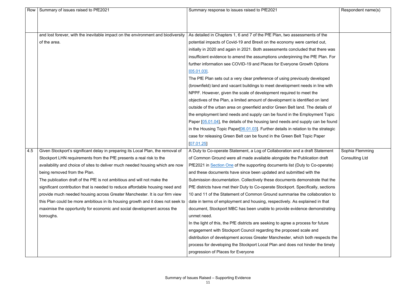| Row | Summary of issues raised to PfE2021                                              | Summary response to issues raised to PfE2021                                       | Respondent name(s)    |
|-----|----------------------------------------------------------------------------------|------------------------------------------------------------------------------------|-----------------------|
|     |                                                                                  |                                                                                    |                       |
|     |                                                                                  |                                                                                    |                       |
|     | and lost forever, with the inevitable impact on the environment and biodiversity | As detailed in Chapters 1, 6 and 7 of the PfE Plan, two assessments of the         |                       |
|     | of the area.                                                                     | potential impacts of Covid-19 and Brexit on the economy were carried out,          |                       |
|     |                                                                                  | initially in 2020 and again in 2021. Both assessments concluded that there was     |                       |
|     |                                                                                  | insufficient evidence to amend the assumptions underpinning the PfE Plan. For      |                       |
|     |                                                                                  | further information see COVID-19 and Places for Everyone Growth Options            |                       |
|     |                                                                                  | [05.01.03]                                                                         |                       |
|     |                                                                                  | The PfE Plan sets out a very clear preference of using previously developed        |                       |
|     |                                                                                  | (brownfield) land and vacant buildings to meet development needs in line with      |                       |
|     |                                                                                  | NPPF. However, given the scale of development required to meet the                 |                       |
|     |                                                                                  | objectives of the Plan, a limited amount of development is identified on land      |                       |
|     |                                                                                  | outside of the urban area on greenfield and/or Green Belt land. The details of     |                       |
|     |                                                                                  | the employment land needs and supply can be found in the Employment Topic          |                       |
|     |                                                                                  | Paper [05.01.04], the details of the housing land needs and supply can be found    |                       |
|     |                                                                                  | in the Housing Topic Paper[06.01.03]. Further details in relation to the strategic |                       |
|     |                                                                                  | case for releasing Green Belt can be found in the Green Belt Topic Paper           |                       |
|     |                                                                                  | [07.01.25]                                                                         |                       |
| 4.5 | Given Stockport's significant delay in preparing its Local Plan, the removal of  | A Duty to Co-operate Statement, a Log of Collaboration and a draft Statement       | Sophia Flemming       |
|     | Stockport LHN requirements from the PfE presents a real risk to the              | of Common Ground were all made available alongside the Publication draft           | <b>Consulting Ltd</b> |
|     | availability and choice of sites to deliver much needed housing which are now    | PfE2021 in Section One of the supporting documents list (Duty to Co-operate)       |                       |
|     | being removed from the Plan.                                                     | and these documents have since been updated and submitted with the                 |                       |
|     | The publication draft of the PfE is not ambitious and will not make the          | Submission documentation. Collectively these documents demonstrate that the        |                       |
|     | significant contribution that is needed to reduce affordable housing need and    | PfE districts have met their Duty to Co-operate Stockport. Specifically, sections  |                       |
|     | provide much needed housing across Greater Manchester. It is our firm view       | 10 and 11 of the Statement of Common Ground summarise the collaboration to         |                       |
|     | this Plan could be more ambitious in its housing growth and it does not seek to  | date in terms of employment and housing, respectively. As explained in that        |                       |
|     | maximise the opportunity for economic and social development across the          | document, Stockport MBC has been unable to provide evidence demonstrating          |                       |
|     | boroughs.                                                                        | unmet need.                                                                        |                       |
|     |                                                                                  | In the light of this, the PfE districts are seeking to agree a process for future  |                       |
|     |                                                                                  | engagement with Stockport Council regarding the proposed scale and                 |                       |
|     |                                                                                  | distribution of development across Greater Manchester, which both respects the     |                       |
|     |                                                                                  | process for developing the Stockport Local Plan and does not hinder the timely     |                       |
|     |                                                                                  | progression of Places for Everyone                                                 |                       |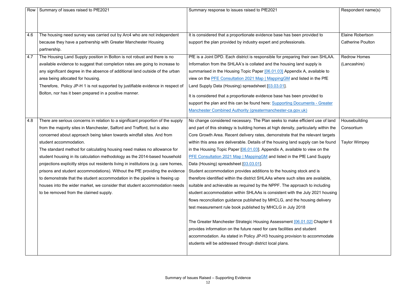| Row | Summary of issues raised to PfE2021                                                  | Summary response to issues raised to PfE2021                                         | Respondent name(s)       |
|-----|--------------------------------------------------------------------------------------|--------------------------------------------------------------------------------------|--------------------------|
|     |                                                                                      |                                                                                      |                          |
|     |                                                                                      |                                                                                      |                          |
| 4.6 |                                                                                      |                                                                                      | <b>Elaine Robertson</b>  |
|     | The housing need survey was carried out by Arc4 who are not independent              | It is considered that a proportionate evidence base has been provided to             | <b>Catherine Poulton</b> |
|     | because they have a partnership with Greater Manchester Housing                      | support the plan provided by industry expert and professionals.                      |                          |
|     | partnership.                                                                         |                                                                                      |                          |
| 4.7 | The Housing Land Supply position in Bolton is not robust and there is no             | PfE is a Joint DPD. Each district is responsible for preparing their own SHLAA.      | <b>Redrow Homes</b>      |
|     | available evidence to suggest that completion rates are going to increase to         | Information from the SHLAA's is collated and the housing land supply is              | (Lancashire)             |
|     | any significant degree in the absence of additional land outside of the urban        | summarised in the Housing Topic Paper [06.01.03] Appendix A, available to            |                          |
|     | area being allocated for housing.                                                    | view on the PFE Consultation 2021 Map   Mapping GM and listed in the PfE             |                          |
|     | Therefore, Policy JP-H 1 is not supported by justifiable evidence in respect of      | Land Supply Data (Housing) spreadsheet [03.03.01].                                   |                          |
|     | Bolton, nor has it been prepared in a positive manner.                               | It is considered that a proportionate evidence base has been provided to             |                          |
|     |                                                                                      | support the plan and this can be found here: Supporting Documents - Greater          |                          |
|     |                                                                                      | Manchester Combined Authority (greatermanchester-ca.gov.uk)                          |                          |
|     |                                                                                      |                                                                                      |                          |
| 4.8 | There are serious concerns in relation to a significant proportion of the supply     | No change considered necessary. The Plan seeks to make efficient use of land         | Housebuilding            |
|     | from the majority sites in Manchester, Salford and Trafford, but is also             | and part of this strategy is building homes at high density, particularly within the | Consortium               |
|     | concerned about approach being taken towards windfall sites. And from                | Core Growth Area. Recent delivery rates, demonstrate that the relevant targets       |                          |
|     | student accommodation.                                                               | within this area are deliverable. Details of the housing land supply can be found    | <b>Taylor Wimpey</b>     |
|     | The standard method for calculating housing need makes no allowance for              | in the Housing Topic Paper $[06.01.03]$ . Appendix A, available to view on the       |                          |
|     | student housing in its calculation methodology as the 2014-based household           | <b>PFE Consultation 2021 Map   MappingGM and listed in the PfE Land Supply</b>       |                          |
|     | projections explicitly strips out residents living in institutions (e.g. care homes, | Data (Housing) spreadsheet [03.03.01].                                               |                          |
|     | prisons and student accommodations). Without the PfE providing the evidence          | Student accommodation provides additions to the housing stock and is                 |                          |
|     | to demonstrate that the student accommodation in the pipeline is freeing up          | therefore identified within the district SHLAAs where such sites are available,      |                          |
|     | houses into the wider market, we consider that student accommodation needs           | suitable and achievable as required by the NPPF. The approach to including           |                          |
|     | to be removed from the claimed supply.                                               | student accommodation within SHLAAs is consistent with the July 2021 housing         |                          |
|     |                                                                                      | flows reconciliation guidance published by MHCLG, and the housing delivery           |                          |
|     |                                                                                      | test measurement rule book published by MHCLG in July 2018                           |                          |
|     |                                                                                      |                                                                                      |                          |
|     |                                                                                      | The Greater Manchester Strategic Housing Assessment [06.01.02] Chapter 6             |                          |
|     |                                                                                      | provides information on the future need for care facilities and student              |                          |
|     |                                                                                      | accommodation. As stated in Policy JP-H3 housing provision to accommodate            |                          |
|     |                                                                                      | students will be addressed through district local plans.                             |                          |
|     |                                                                                      |                                                                                      |                          |
|     |                                                                                      |                                                                                      |                          |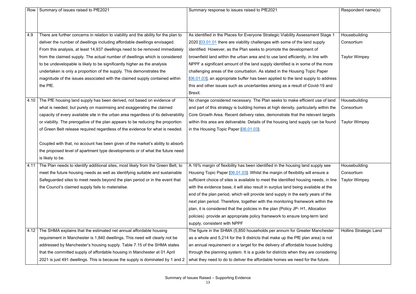| Row  | Summary of issues raised to PfE2021                                                 | Summary response to issues raised to PfE2021                                          | Respondent name(s)            |
|------|-------------------------------------------------------------------------------------|---------------------------------------------------------------------------------------|-------------------------------|
|      |                                                                                     |                                                                                       |                               |
|      |                                                                                     |                                                                                       |                               |
| 4.9  | There are further concerns in relation to viability and the ability for the plan to | As identified in the Places for Everyone Strategic Viability Assessment Stage 1       | Housebuilding                 |
|      | deliver the number of dwellings including affordable dwellings envisaged.           | 2020 [03.01.01 there are viability challenges with some of the land supply            | Consortium                    |
|      | From this analysis, at least 14,937 dwellings need to be removed immediately        | identified. However, as the Plan seeks to promote the development of                  |                               |
|      | from the claimed supply. The actual number of dwellings which is considered         | brownfield land within the urban area and to use land efficiently, in line with       | <b>Taylor Wimpey</b>          |
|      | to be undevelopable is likely to be significantly higher as the analysis            | NPPF a significant amount of the land supply identified is in some of the more        |                               |
|      | undertaken is only a proportion of the supply. This demonstrates the                | challenging areas of the conurbation. As stated in the Housing Topic Paper            |                               |
|      | magnitude of the issues associated with the claimed supply contained within         | [06.01.03], an appropriate buffer has been applied to the land supply to address      |                               |
|      | the PfE.                                                                            | this and other issues such as uncertainties arising as a result of Covid-19 and       |                               |
|      |                                                                                     | Brexit.                                                                               |                               |
| 4.10 | The PfE housing land supply has been derived, not based on evidence of              | No change considered necessary. The Plan seeks to make efficient use of land          | Housebuilding                 |
|      | what is needed, but purely on maximising and exaggerating the claimed               | and part of this strategy is building homes at high density, particularly within the  | Consortium                    |
|      | capacity of every available site in the urban area regardless of its deliverability | Core Growth Area. Recent delivery rates, demonstrate that the relevant targets        |                               |
|      | or viability. The prerogative of the plan appears to be reducing the proportion     | within this area are deliverable. Details of the housing land supply can be found     | <b>Taylor Wimpey</b>          |
|      | of Green Belt release required regardless of the evidence for what is needed.       | in the Housing Topic Paper [06.01.03].                                                |                               |
|      |                                                                                     |                                                                                       |                               |
|      | Coupled with that, no account has been given of the market's ability to absorb      |                                                                                       |                               |
|      | the proposed level of apartment type developments or of what the future need        |                                                                                       |                               |
|      | is likely to be.                                                                    |                                                                                       |                               |
| 4.11 | The Plan needs to identify additional sites, most likely from the Green Belt, to    | A 16% margin of flexibility has been identified in the housing land supply see        | Housebuilding                 |
|      | meet the future housing needs as well as identifying suitable and sustainable       | Housing Topic Paper [06.01.03]. Whilst the margin of flexibility will ensure a        | Consortium                    |
|      | Safeguarded sites to meet needs beyond the plan period or in the event that         | sufficient choice of sites is available to meet the identified housing needs, in line | <b>Taylor Wimpey</b>          |
|      | the Council's claimed supply fails to materialise.                                  | with the evidence base, it will also result in surplus land being available at the    |                               |
|      |                                                                                     | end of the plan period, which will provide land supply in the early years of the      |                               |
|      |                                                                                     | next plan period. Therefore, together with the monitoring framework within the        |                               |
|      |                                                                                     | plan, it is considered that the policies in the plan (Policy JP-H1, Allocation        |                               |
|      |                                                                                     | policies) provide an appropriate policy framework to ensure long-term land            |                               |
|      |                                                                                     | supply, consistent with NPPF                                                          |                               |
| 4.12 | The SHMA explains that the estimated net annual affordable housing                  | The figure in the SHMA (5,850 households per annum for Greater Manchester             | <b>Hollins Strategic Land</b> |
|      | requirement in Manchester is 1,840 dwellings. This need will clearly not be         | as a whole and 5,214 for the 9 districts that make up the PfE plan area) is not       |                               |
|      | addressed by Manchester's housing supply. Table 7.15 of the SHMA states             | an annual requirement or a target for the delivery of affordable house building       |                               |
|      | that the committed supply of affordable housing in Manchester at 01 April           | through the planning system. It is a guide for districts when they are considering    |                               |
|      | 2021 is just 491 dwellings. This is because the supply is dominated by 1 and 2      | what they need to do to deliver the affordable homes we need for the future.          |                               |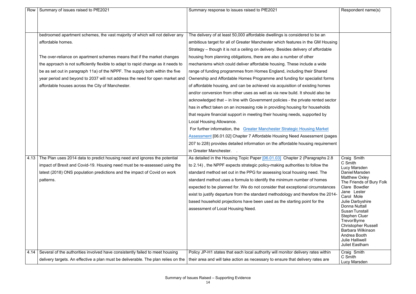| Row  | Summary of issues raised to PfE2021                                               | Summary response to issues raised to PfE2021                                      | Respondent name(s)                            |
|------|-----------------------------------------------------------------------------------|-----------------------------------------------------------------------------------|-----------------------------------------------|
|      |                                                                                   |                                                                                   |                                               |
|      |                                                                                   |                                                                                   |                                               |
|      |                                                                                   |                                                                                   |                                               |
|      | bedroomed apartment schemes, the vast majority of which will not deliver any      | The delivery of at least 50,000 affordable dwellings is considered to be an       |                                               |
|      | affordable homes.                                                                 | ambitious target for all of Greater Manchester which features in the GM Housing   |                                               |
|      |                                                                                   | Strategy – though it is not a ceiling on delivery. Besides delivery of affordable |                                               |
|      | The over-reliance on apartment schemes means that if the market changes           | housing from planning obligations, there are also a number of other               |                                               |
|      | the approach is not sufficiently flexible to adapt to rapid change as it needs to | mechanisms which could deliver affordable housing. These include a wide           |                                               |
|      | be as set out in paragraph 11a) of the NPPF. The supply both within the five      | range of funding programmes from Homes England, including their Shared            |                                               |
|      | year period and beyond to 2037 will not address the need for open market and      | Ownership and Affordable Homes Programme and funding for specialist forms         |                                               |
|      | affordable houses across the City of Manchester.                                  | of affordable housing, and can be achieved via acquisition of existing homes      |                                               |
|      |                                                                                   | and/or conversion from other uses as well as via new build. It should also be     |                                               |
|      |                                                                                   | acknowledged that – in line with Government policies - the private rented sector  |                                               |
|      |                                                                                   | has in effect taken on an increasing role in providing housing for households     |                                               |
|      |                                                                                   | that require financial support in meeting their housing needs, supported by       |                                               |
|      |                                                                                   | Local Housing Allowance.                                                          |                                               |
|      |                                                                                   | For further information, the Greater Manchester Strategic Housing Market          |                                               |
|      |                                                                                   | <b>Assessment [06.01.02] Chapter 7 Affordable Housing Need Assessment (pages</b>  |                                               |
|      |                                                                                   | 207 to 228) provides detailed information on the affordable housing requirement   |                                               |
|      |                                                                                   | in Greater Manchester.                                                            |                                               |
|      | 4.13 The Plan uses 2014 data to predict housing need and ignores the potential    | As detailed in the Housing Topic Paper [06.01.03] Chapter 2 (Paragraphs 2.8       | Craig Smith                                   |
|      | impact of Brexit and Covid-19. Housing need must be re-assessed using the         | to 2.14), the NPPF expects strategic policy-making authorities to follow the      | C Smith                                       |
|      | latest (2018) ONS population predictions and the impact of Covid on work          | standard method set out in the PPG for assessing local housing need. The          | Lucy Marsden<br>Daniel Marsden                |
|      | patterns.                                                                         | standard method uses a formula to identify the minimum number of homes            | <b>Matthew Oxley</b>                          |
|      |                                                                                   | expected to be planned for. We do not consider that exceptional circumstances     | The Friends of Bury Folk<br>Clare Bowdler     |
|      |                                                                                   | exist to justify departure from the standard methodology and therefore the 2014-  | Jane Lester                                   |
|      |                                                                                   | based household projections have been used as the starting point for the          | Carol Mole<br>Julie Darbyshire                |
|      |                                                                                   | assessment of Local Housing Need.                                                 | <b>Donna Nuttall</b>                          |
|      |                                                                                   |                                                                                   | <b>Susan Tunstall</b><br><b>Stephen Cluer</b> |
|      |                                                                                   |                                                                                   | <b>TrevorByrne</b>                            |
|      |                                                                                   |                                                                                   | <b>Christopher Russell</b>                    |
|      |                                                                                   |                                                                                   | <b>Barbara Wilkinson</b><br>Andrea Booth      |
|      |                                                                                   |                                                                                   | <b>Julie Halliwell</b>                        |
|      |                                                                                   |                                                                                   | <b>Juliet Eastham</b>                         |
| 4.14 | Several of the authorities involved have consistently failed to meet housing      | Policy JP-H1 states that each local authority will monitor delivery rates within  | Craig Smith<br>C Smith                        |
|      | delivery targets. An effective a plan must be deliverable. The plan relies on the | their area and will take action as necessary to ensure that delivery rates are    | Lucy Marsden                                  |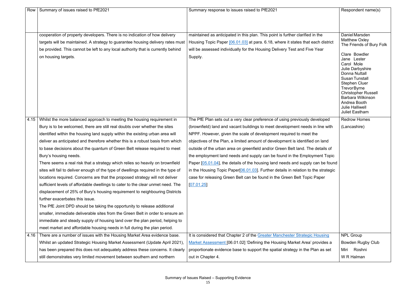| Row  | Summary of issues raised to PfE2021                                                                                                                                                        | Summary response to issues raised to PfE2021                                                                                                                             | Respondent name(s)                                                                                                                                                                                                       |
|------|--------------------------------------------------------------------------------------------------------------------------------------------------------------------------------------------|--------------------------------------------------------------------------------------------------------------------------------------------------------------------------|--------------------------------------------------------------------------------------------------------------------------------------------------------------------------------------------------------------------------|
|      |                                                                                                                                                                                            |                                                                                                                                                                          |                                                                                                                                                                                                                          |
|      | cooperation of property developers. There is no indication of how delivery                                                                                                                 | maintained as anticipated in this plan. This point is further clarified in the                                                                                           | Daniel Marsden<br><b>Matthew Oxley</b>                                                                                                                                                                                   |
|      | targets will be maintained. A strategy to guarantee housing delivery rates must<br>be provided. This cannot be left to any local authority that is currently behind<br>on housing targets. | Housing Topic Paper [06.01.03] at para. 6.18, where it states that each district<br>will be assessed individually for the Housing Delivery Test and Five Year<br>Supply. | The Friends of Bury Folk<br>Clare Bowdler<br>Jane Lester<br>Carol Mole<br>Julie Darbyshire                                                                                                                               |
|      |                                                                                                                                                                                            |                                                                                                                                                                          | <b>Donna Nuttall</b><br><b>Susan Tunstall</b><br><b>Stephen Cluer</b><br><b>TrevorByrne</b><br><b>Christopher Russell</b><br><b>Barbara Wilkinson</b><br>Andrea Booth<br><b>Julie Halliwell</b><br><b>Juliet Eastham</b> |
| 4.15 | Whilst the more balanced approach to meeting the housing requirement in                                                                                                                    | The PfE Plan sets out a very clear preference of using previously developed                                                                                              | <b>Redrow Homes</b>                                                                                                                                                                                                      |
|      | Bury is to be welcomed, there are still real doubts over whether the sites                                                                                                                 | (brownfield) land and vacant buildings to meet development needs in line with                                                                                            | (Lancashire)                                                                                                                                                                                                             |
|      | identified within the housing land supply within the existing urban area will                                                                                                              | NPPF. However, given the scale of development required to meet the                                                                                                       |                                                                                                                                                                                                                          |
|      | deliver as anticipated and therefore whether this is a robust basis from which                                                                                                             | objectives of the Plan, a limited amount of development is identified on land                                                                                            |                                                                                                                                                                                                                          |
|      | to base decisions about the quantum of Green Belt release required to meet                                                                                                                 | outside of the urban area on greenfield and/or Green Belt land. The details of                                                                                           |                                                                                                                                                                                                                          |
|      | Bury's housing needs.                                                                                                                                                                      | the employment land needs and supply can be found in the Employment Topic                                                                                                |                                                                                                                                                                                                                          |
|      | There seems a real risk that a strategy which relies so heavily on brownfield                                                                                                              | Paper [05.01.04], the details of the housing land needs and supply can be found                                                                                          |                                                                                                                                                                                                                          |
|      | sites will fail to deliver enough of the type of dwellings required in the type of                                                                                                         | in the Housing Topic Paper[06.01.03]. Further details in relation to the strategic                                                                                       |                                                                                                                                                                                                                          |
|      | locations required. Concerns are that the proposed strategy will not deliver                                                                                                               | case for releasing Green Belt can be found in the Green Belt Topic Paper                                                                                                 |                                                                                                                                                                                                                          |
|      | sufficient levels of affordable dwellings to cater to the clear unmet need. The                                                                                                            | [07.01.25]                                                                                                                                                               |                                                                                                                                                                                                                          |
|      | displacement of 25% of Bury's housing requirement to neighbouring Districts                                                                                                                |                                                                                                                                                                          |                                                                                                                                                                                                                          |
|      | further exacerbates this issue.                                                                                                                                                            |                                                                                                                                                                          |                                                                                                                                                                                                                          |
|      | The PfE Joint DPD should be taking the opportunity to release additional                                                                                                                   |                                                                                                                                                                          |                                                                                                                                                                                                                          |
|      | smaller, immediate deliverable sites from the Green Belt in order to ensure an                                                                                                             |                                                                                                                                                                          |                                                                                                                                                                                                                          |
|      | immediate and steady supply of housing land over the plan period, helping to                                                                                                               |                                                                                                                                                                          |                                                                                                                                                                                                                          |
|      | meet market and affordable housing needs in full during the plan period.                                                                                                                   |                                                                                                                                                                          |                                                                                                                                                                                                                          |
| 4.16 | There are a number of issues with the Housing Market Area evidence base.                                                                                                                   | It is considered that Chapter 2 of the Greater Manchester Strategic Housing                                                                                              | <b>NPL Group</b>                                                                                                                                                                                                         |
|      | Whilst an updated Strategic Housing Market Assessment (Update April 2021),                                                                                                                 | Market Assessment [06.01.02] 'Defining the Housing Market Area' provides a                                                                                               | <b>Bowden Rugby Club</b>                                                                                                                                                                                                 |
|      | has been prepared this does not adequately address these concerns. It clearly                                                                                                              | proportionate evidence base to support the spatial strategy in the Plan as set                                                                                           | Roshni<br>Miri                                                                                                                                                                                                           |
|      | still demonstrates very limited movement between southern and northern                                                                                                                     | out in Chapter 4.                                                                                                                                                        | W R Halman                                                                                                                                                                                                               |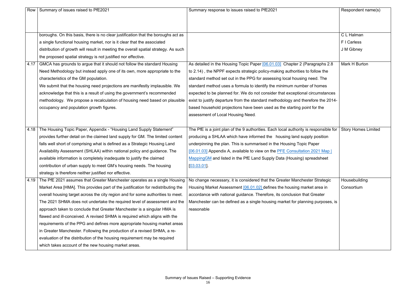| Row  | Summary of issues raised to PfE2021                                                 | Summary response to issues raised to PfE2021                                          | Respondent name(s)         |
|------|-------------------------------------------------------------------------------------|---------------------------------------------------------------------------------------|----------------------------|
|      |                                                                                     |                                                                                       |                            |
|      |                                                                                     |                                                                                       |                            |
|      | boroughs. On this basis, there is no clear justification that the boroughs act as   |                                                                                       | C L Halman                 |
|      | a single functional housing market, nor is it clear that the associated             |                                                                                       | F I Carless                |
|      | distribution of growth will result in meeting the overall spatial strategy. As such |                                                                                       | J M Gibney                 |
|      | the proposed spatial strategy is not justified nor effective.                       |                                                                                       |                            |
| 4.17 | GMCA has grounds to argue that it should not follow the standard Housing            | As detailed in the Housing Topic Paper [06.01.03] Chapter 2 (Paragraphs 2.8           | Mark H Burton              |
|      | Need Methodology but instead apply one of its own, more appropriate to the          | to 2.14), the NPPF expects strategic policy-making authorities to follow the          |                            |
|      | characteristics of the GM population.                                               | standard method set out in the PPG for assessing local housing need. The              |                            |
|      | We submit that the housing need projections are manifestly implausible. We          | standard method uses a formula to identify the minimum number of homes                |                            |
|      | acknowledge that this is a result of using the government's recommended             | expected to be planned for. We do not consider that exceptional circumstances         |                            |
|      | methodology. We propose a recalculation of housing need based on plausible          | exist to justify departure from the standard methodology and therefore the 2014-      |                            |
|      | occupancy and population growth figures.                                            | based household projections have been used as the starting point for the              |                            |
|      |                                                                                     | assessment of Local Housing Need.                                                     |                            |
|      |                                                                                     |                                                                                       |                            |
|      | 4.18   The Housing Topic Paper, Appendix - "Housing Land Supply Statement"          | The PfE is a joint plan of the 9 authorities. Each local authority is responsible for | <b>Story Homes Limited</b> |
|      | provides further detail on the claimed land supply for GM. The limited content      | producing a SHLAA which have informed the housing land supply position                |                            |
|      | falls well short of comprising what is defined as a Strategic Housing Land          | underpinning the plan. This is summarised in the Housing Topic Paper                  |                            |
|      | Availability Assessment (SHLAA) within national policy and guidance. The            | [06.01.03] Appendix A, available to view on the PFE Consultation 2021 Map             |                            |
|      | available information is completely inadequate to justify the claimed               | MappingGM and listed in the PfE Land Supply Data (Housing) spreadsheet                |                            |
|      | contribution of urban supply to meet GM's housing needs. The housing                | $[03.03.01]$ .                                                                        |                            |
|      | strategy is therefore neither justified nor effective.                              |                                                                                       |                            |
| 4.19 | The PfE 2021 assumes that Greater Manchester operates as a single Housing           | No change necessary, it is considered that the Greater Manchester Strategic           | Housebuilding              |
|      | Market Area [HMA]. This provides part of the justification for redistributing the   | Housing Market Assessment [06.01.02] defines the housing market area in               | Consortium                 |
|      | overall housing target across the city region and for some authorities to meet.     | accordance with national guidance. Therefore, its conclusion that Greater             |                            |
|      | The 2021 SHMA does not undertake the required level of assessment and the           | Manchester can be defined as a single housing market for planning purposes, is        |                            |
|      | approach taken to conclude that Greater Manchester is a singular HMA is             | reasonable                                                                            |                            |
|      | flawed and ill-conceived. A revised SHMA is required which aligns with the          |                                                                                       |                            |
|      | requirements of the PPG and defines more appropriate housing market areas           |                                                                                       |                            |
|      | in Greater Manchester. Following the production of a revised SHMA, a re-            |                                                                                       |                            |
|      | evaluation of the distribution of the housing requirement may be required           |                                                                                       |                            |
|      | which takes account of the new housing market areas.                                |                                                                                       |                            |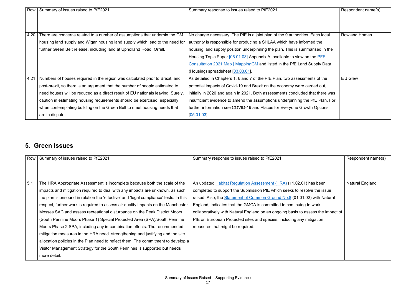| <b>Row</b> | Summary of issues raised to PfE2021                                             | Summary response to issues raised to PfE2021                                   | Respondent name(s)   |
|------------|---------------------------------------------------------------------------------|--------------------------------------------------------------------------------|----------------------|
|            |                                                                                 |                                                                                |                      |
|            |                                                                                 |                                                                                |                      |
|            |                                                                                 |                                                                                |                      |
|            |                                                                                 |                                                                                |                      |
| 4.20       | There are concerns related to a number of assumptions that underpin the GM      | No change necessary. The PfE is a joint plan of the 9 authorities. Each local  | <b>Rowland Homes</b> |
|            | housing land supply and Wigan housing land supply which lead to the need for    | authority is responsible for producing a SHLAA which have informed the         |                      |
|            | further Green Belt release, including land at Upholland Road, Orrell.           | housing land supply position underpinning the plan. This is summarised in the  |                      |
|            |                                                                                 | Housing Topic Paper [06.01.03] Appendix A, available to view on the PFE        |                      |
|            |                                                                                 | Consultation 2021 Map   Mapping GM and listed in the PfE Land Supply Data      |                      |
|            |                                                                                 | (Housing) spreadsheet [03.03.01].                                              |                      |
| 4.21       | Numbers of houses required in the region was calculated prior to Brexit, and    | As detailed in Chapters 1, 6 and 7 of the PfE Plan, two assessments of the     | E J Glew             |
|            | post-brexit, so there is an argument that the number of people estimated to     | potential impacts of Covid-19 and Brexit on the economy were carried out,      |                      |
|            | need houses will be reduced as a direct result of EU nationals leaving. Surely, | initially in 2020 and again in 2021. Both assessments concluded that there was |                      |
|            | caution in estimating housing requirements should be exercised, especially      | insufficient evidence to amend the assumptions underpinning the PfE Plan. For  |                      |
|            | when contemplating building on the Green Belt to meet housing needs that        | further information see COVID-19 and Places for Everyone Growth Options        |                      |
|            | are in dispute.                                                                 | [05.01.03]                                                                     |                      |

#### **5. Green Issues**

| Row | Summary of issues raised to PfE2021                                                   | Summary response to issues raised to PfE2021                                     | Respondent name(s)     |
|-----|---------------------------------------------------------------------------------------|----------------------------------------------------------------------------------|------------------------|
|     |                                                                                       |                                                                                  |                        |
|     |                                                                                       |                                                                                  |                        |
| 5.1 | The HRA Appropriate Assessment is incomplete because both the scale of the            | An updated Habitat Regulation Assessment (HRA) (11.02.01) has been               | <b>Natural England</b> |
|     | impacts and mitigation required to deal with any impacts are unknown, as such         | completed to support the Submission PfE which seeks to resolve the issue         |                        |
|     | the plan is unsound in relation the 'effective' and 'legal compliance' tests. In this | raised. Also, the Statement of Common Ground No.8 (01.01.02) with Natural        |                        |
|     | respect, further work is required to assess air quality impacts on the Manchester     | England, indicates that the GMCA is committed to continuing to work              |                        |
|     | Mosses SAC and assess recreational disturbance on the Peak District Moors             | collaboratively with Natural England on an ongoing basis to assess the impact of |                        |
|     | (South Pennine Moors Phase 1) Special Protected Area (SPA)/South Pennine              | PfE on European Protected sites and species, including any mitigation            |                        |
|     | Moors Phase 2 SPA, including any in-combination effects. The recommended              | measures that might be required.                                                 |                        |
|     | mitigation measures in the HRA need strengthening and justifying and the site         |                                                                                  |                        |
|     | allocation policies in the Plan need to reflect them. The commitment to develop a     |                                                                                  |                        |
|     | Visitor Management Strategy for the South Pennines is supported but needs             |                                                                                  |                        |
|     | more detail.                                                                          |                                                                                  |                        |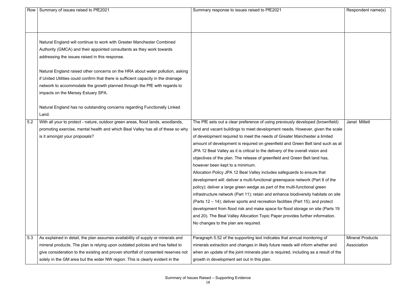|     | Row   Summary of issues raised to PfE2021                                           | Summary response to issues raised to PfE2021                                        | Respondent name(s)      |
|-----|-------------------------------------------------------------------------------------|-------------------------------------------------------------------------------------|-------------------------|
|     |                                                                                     |                                                                                     |                         |
|     |                                                                                     |                                                                                     |                         |
|     |                                                                                     |                                                                                     |                         |
|     |                                                                                     |                                                                                     |                         |
|     | Natural England will continue to work with Greater Manchester Combined              |                                                                                     |                         |
|     | Authority (GMCA) and their appointed consultants as they work towards               |                                                                                     |                         |
|     | addressing the issues raised in this response.                                      |                                                                                     |                         |
|     | Natural England raised other concerns on the HRA about water pollution, asking      |                                                                                     |                         |
|     | if United Utilities could confirm that there is sufficient capacity in the drainage |                                                                                     |                         |
|     |                                                                                     |                                                                                     |                         |
|     | network to accommodate the growth planned through the PfE with regards to           |                                                                                     |                         |
|     | impacts on the Mersey Estuary SPA.                                                  |                                                                                     |                         |
|     | Natural England has no outstanding concerns regarding Functionally Linked           |                                                                                     |                         |
|     | Land.                                                                               |                                                                                     |                         |
| 5.2 |                                                                                     |                                                                                     | Janet Millett           |
|     | With all your to protect - nature, outdoor green areas, flood lands, woodlands,     | The PfE sets out a clear preference of using previously developed (brownfield)      |                         |
|     | promoting exercise, mental health and which Beal Valley has all of these so why     | land and vacant buildings to meet development needs. However, given the scale       |                         |
|     | is it amongst your proposals?                                                       | of development required to meet the needs of Greater Manchester a limited           |                         |
|     |                                                                                     | amount of development is required on greenfield and Green Belt land such as at      |                         |
|     |                                                                                     | JPA 12 Beal Valley as it is critical to the delivery of the overall vision and      |                         |
|     |                                                                                     | objectives of the plan. The release of greenfield and Green Belt land has,          |                         |
|     |                                                                                     | however been kept to a minimum.                                                     |                         |
|     |                                                                                     | Allocation Policy JPA 12 Beal Valley includes safeguards to ensure that             |                         |
|     |                                                                                     | development will: deliver a multi-functional greenspace network (Part 8 of the      |                         |
|     |                                                                                     | policy); deliver a large green wedge as part of the multi-functional green          |                         |
|     |                                                                                     | infrastructure network (Part 11); retain and enhance biodiversity habitats on site  |                         |
|     |                                                                                     | (Parts 12 – 14); deliver sports and recreation facilities (Part 15); and protect    |                         |
|     |                                                                                     | development from flood risk and make space for flood storage on site (Parts 19)     |                         |
|     |                                                                                     | and 20). The Beal Valley Allocation Topic Paper provides further information.       |                         |
|     |                                                                                     | No changes to the plan are required.                                                |                         |
|     |                                                                                     |                                                                                     |                         |
| 5.3 | As explained in detail, the plan assumes availability of supply or minerals and     | Paragraph 5.52 of the supporting text indicates that annual monitoring of           | <b>Mineral Products</b> |
|     | mineral products. The plan is relying upon outdated policies and has failed to      | minerals extraction and changes in likely future needs will inform whether and      | Association             |
|     | give consideration to the existing and proven shortfall of consented reserves not   | when an update of the joint minerals plan is required, including as a result of the |                         |
|     | solely in the GM area but the wider NW region. This is clearly evident in the       | growth in development set out in this plan.                                         |                         |

|                                                                                                      | Respondent name(s)                     |
|------------------------------------------------------------------------------------------------------|----------------------------------------|
|                                                                                                      |                                        |
| d (brownfield)<br>given the scale<br>r a limited<br>and such as at<br>on and<br><b>ind has,</b>      | Janet Millett                          |
| re that<br>Part 8 of the<br>green<br>abitats on site<br>nd protect<br>site (Parts 19<br>information. |                                        |
| pring of<br>whether and<br>$: a$ result of the                                                       | <b>Mineral Products</b><br>Association |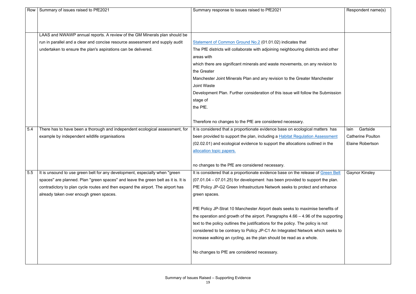|     | Row   Summary of issues raised to PfE2021                                         | Summary response to issues raised to PfE2021                                        | Respondent name(s)       |
|-----|-----------------------------------------------------------------------------------|-------------------------------------------------------------------------------------|--------------------------|
|     |                                                                                   |                                                                                     |                          |
|     |                                                                                   |                                                                                     |                          |
|     | LAAS and NWAWP annual reports. A review of the GM Minerals plan should be         |                                                                                     |                          |
|     | run in parallel and a clear and concise resource assessment and supply audit      | Statement of Common Ground No.2 (01.01.02) indicates that                           |                          |
|     | undertaken to ensure the plan's aspirations can be delivered.                     | The PfE districts will collaborate with adjoining neighbouring districts and other  |                          |
|     |                                                                                   | areas with                                                                          |                          |
|     |                                                                                   | which there are significant minerals and waste movements, on any revision to        |                          |
|     |                                                                                   | the Greater                                                                         |                          |
|     |                                                                                   | Manchester Joint Minerals Plan and any revision to the Greater Manchester           |                          |
|     |                                                                                   | <b>Joint Waste</b>                                                                  |                          |
|     |                                                                                   | Development Plan. Further consideration of this issue will follow the Submission    |                          |
|     |                                                                                   | stage of                                                                            |                          |
|     |                                                                                   | the PfE.                                                                            |                          |
|     |                                                                                   |                                                                                     |                          |
|     |                                                                                   | Therefore no changes to the PfE are considered necessary.                           |                          |
| 5.4 | There has to have been a thorough and independent ecological assessment, for      | It is considered that a proportionate evidence base on ecological matters has       | Gartside<br>lain         |
|     | example by independent wildlife organisations                                     | been provided to support the plan, including a Habitat Regulation Assessment        | <b>Catherine Poulton</b> |
|     |                                                                                   | (02.02.01) and ecological evidence to support the allocations outlined in the       | <b>Elaine Robertson</b>  |
|     |                                                                                   | allocation topic papers.                                                            |                          |
|     |                                                                                   |                                                                                     |                          |
|     |                                                                                   | no changes to the PfE are considered necessary.                                     |                          |
| 5.5 | It is unsound to use green belt for any development, especially when "green"      | It is considered that a proportionate evidence base on the release of Green Belt    | <b>Gaynor Kinsley</b>    |
|     | spaces" are planned. Plan "green spaces" and leave the green belt as it is. It is | $(07.01.04 - 07.01.25)$ for development has been provided to support the plan.      |                          |
|     | contradictory to plan cycle routes and then expand the airport. The airport has   | PfE Policy JP-G2 Green Infrastructure Network seeks to protect and enhance          |                          |
|     | already taken over enough green spaces.                                           | green spaces.                                                                       |                          |
|     |                                                                                   |                                                                                     |                          |
|     |                                                                                   | PfE Policy JP-Strat 10 Manchester Airport deals seeks to maximise benefits of       |                          |
|     |                                                                                   | the operation and growth of the airport. Paragraphs $4.66 - 4.96$ of the supporting |                          |
|     |                                                                                   | text to the policy outlines the justifications for the policy. The policy is not    |                          |
|     |                                                                                   | considered to be contrary to Policy JP-C1 An Integrated Network which seeks to      |                          |
|     |                                                                                   | increase walking an cycling, as the plan should be read as a whole.                 |                          |
|     |                                                                                   |                                                                                     |                          |
|     |                                                                                   | No changes to PfE are considered necessary.                                         |                          |
|     |                                                                                   |                                                                                     |                          |

|                   | Respondent name(s)       |
|-------------------|--------------------------|
|                   |                          |
| cts and other     |                          |
| y revision to     |                          |
| lanchester        |                          |
| he Submission     |                          |
|                   |                          |
|                   |                          |
| matters has       | lain Gartside            |
| <b>Assessment</b> | <b>Catherine Poulton</b> |
| ined in the       | <b>Elaine Robertson</b>  |
|                   |                          |
|                   |                          |
| of Green Belt     | <b>Gaynor Kinsley</b>    |
| port the plan.    |                          |
| nd enhance        |                          |
|                   |                          |
| se benefits of    |                          |
| f the supporting  |                          |
| y is not          |                          |
| which seeks to    |                          |
| e.                |                          |
|                   |                          |
|                   |                          |
|                   |                          |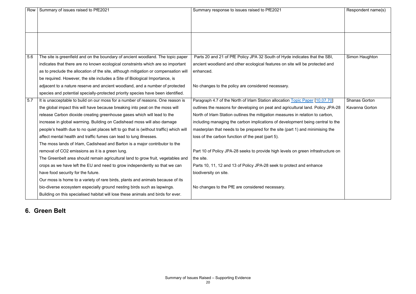|     | Row   Summary of issues raised to PfE2021                                              | Summary response to issues raised to PfE2021                                     | Respondent name(s)   |
|-----|----------------------------------------------------------------------------------------|----------------------------------------------------------------------------------|----------------------|
|     |                                                                                        |                                                                                  |                      |
|     |                                                                                        |                                                                                  |                      |
|     |                                                                                        |                                                                                  |                      |
|     |                                                                                        |                                                                                  |                      |
|     |                                                                                        |                                                                                  |                      |
| 5.6 | The site is greenfield and on the boundary of ancient woodland. The topic paper        | Parts 20 and 21 of PfE Policy JPA 32 South of Hyde indicates that the SBI,       | Simon Haughton       |
|     | indicates that there are no known ecological constraints which are so important        | ancient woodland and other ecological features on site will be protected and     |                      |
|     | as to preclude the allocation of the site, although mitigation or compensation will    | enhanced.                                                                        |                      |
|     | be required. However, the site includes a Site of Biological Importance, is            |                                                                                  |                      |
|     | adjacent to a nature reserve and ancient woodland, and a number of protected           | No changes to the policy are considered necessary.                               |                      |
|     | species and potential specially-protected priority species have been identified.       |                                                                                  |                      |
| 5.7 | It is unacceptable to build on our moss for a number of reasons. One reason is         | Paragraph 4.7 of the North of Irlam Station allocation Topic Paper [10.07.70]    | <b>Shanas Gorton</b> |
|     | the global impact this will have because breaking into peat on the moss will           | outlines the reasons for developing on peat and agricultural land. Policy JPA-28 | Kavanna Gorton       |
|     | release Carbon dioxide creating greenhouse gases which will lead to the                | North of Irlam Station outlines the mitigation measures in relation to carbon,   |                      |
|     | increase in global warming. Building on Cadishead moss will also damage                | including managing the carbon implications of development being central to the   |                      |
|     | people's health due to no quiet places left to go that is (without traffic) which will | masterplan that needs to be prepared for the site (part 1) and minimising the    |                      |
|     | affect mental health and traffic fumes can lead to lung illnesses.                     | loss of the carbon function of the peat (part 5).                                |                      |
|     | The moss lands of Irlam, Cadishead and Barton is a major contributor to the            |                                                                                  |                      |
|     | removal of CO2 emissions as it is a green lung.                                        | Part 10 of Policy JPA-28 seeks to provide high levels on green infrastructure on |                      |
|     | The Greenbelt area should remain agricultural land to grow fruit, vegetables and       | the site.                                                                        |                      |
|     | crops as we have left the EU and need to grow independently so that we can             | Parts 10, 11, 12 and 13 of Policy JPA-28 seek to protect and enhance             |                      |
|     | have food security for the future.                                                     | biodiversity on site.                                                            |                      |
|     | Our moss is home to a variety of rare birds, plants and animals because of its         |                                                                                  |                      |
|     | bio-diverse ecosystem especially ground nesting birds such as lapwings.                | No changes to the PfE are considered necessary.                                  |                      |
|     | Building on this specialised habitat will lose these animals and birds for ever.       |                                                                                  |                      |

|                           | Respondent name(s)   |
|---------------------------|----------------------|
|                           |                      |
| at the SBI,<br>tected and | Simon Haughton       |
| [10.07.70]                | <b>Shanas Gorton</b> |
| Policy JPA-28             | Kavanna Gorton       |
| to carbon,                |                      |
| central to the            |                      |
| imising the               |                      |
| rastructure on            |                      |
| ance                      |                      |
|                           |                      |
|                           |                      |

#### **6. Green Belt**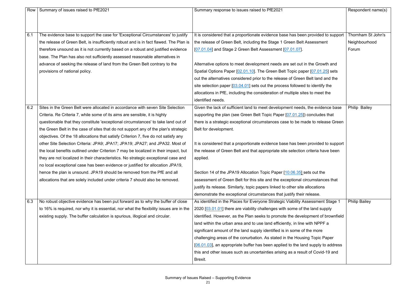| Row | Summary of issues raised to PfE2021                                                     | Summary response to issues raised to PfE2021                                     | Respondent name(s)   |
|-----|-----------------------------------------------------------------------------------------|----------------------------------------------------------------------------------|----------------------|
|     |                                                                                         |                                                                                  |                      |
|     |                                                                                         |                                                                                  |                      |
| 6.1 | The evidence base to support the case for 'Exceptional Circumstances' to justify        | It is considered that a proportionate evidence base has been provided to support | Thornham St John's   |
|     | the release of Green Belt, is insufficiently robust and is in fact flawed. The Plan is  | the release of Green Belt, including the Stage 1 Green Belt Assessment           | Neighbourhood        |
|     | therefore unsound as it is not currently based on a robust and justified evidence       | [07.01.04] and Stage 2 Green Belt Assessment [07.01.07].                         | Forum                |
|     | base. The Plan has also not sufficiently assessed reasonable alternatives in            |                                                                                  |                      |
|     | advance of seeking the release of land from the Green Belt contrary to the              | Alternative options to meet development needs are set out in the Growth and      |                      |
|     | provisions of national policy.                                                          | Spatial Options Paper [02.01.10]. The Green Belt Topic paper [07.01.25] sets     |                      |
|     |                                                                                         | out the alternatives considered prior to the release of Green Belt land and the  |                      |
|     |                                                                                         | site selection paper $[03.04.01]$ sets out the process followed to identify the  |                      |
|     |                                                                                         | allocations in PfE, including the consideration of multiple sites to meet the    |                      |
|     |                                                                                         | identified needs.                                                                |                      |
| 6.2 | Sites in the Green Belt were allocated in accordance with seven Site Selection          | Given the lack of sufficient land to meet development needs, the evidence base   | Philip Bailey        |
|     | Criteria. Re Criteria 7, while some of its aims are sensible, it is highly              | supporting the plan (see Green Belt Topic Paper [07.01.25]) concludes that       |                      |
|     | questionable that they constitute 'exceptional circumstances' to take land out of       | there is a strategic exceptional circumstances case to be made to release Green  |                      |
|     | the Green Belt in the case of sites that do not support any of the plan's strategic     | Belt for development.                                                            |                      |
|     | objectives. Of the 18 allocations that satisfy Criterion 7, five do not satisfy any     |                                                                                  |                      |
|     | other Site Selection Criteria: JPA9; JPA17; JPA19; JPA27; and JPA32. Most of            | It is considered that a proportionate evidence base has been provided to support |                      |
|     | the local benefits outlined under Criterion 7 may be localized in their impact, but     | the release of Green Belt and that appropriate site selection criteria have been |                      |
|     | they are not localized in their characteristics. No strategic exceptional case and      | applied.                                                                         |                      |
|     | no local exceptional case has been evidence or justified for allocation JPA19,          |                                                                                  |                      |
|     | hence the plan is unsound. JPA19 should be removed from the PfE and all                 | Section 14 of the JPA19 Allocation Topic Paper [10.06.35] sets out the           |                      |
|     | allocations that are solely included under criteria 7 should also be removed.           | assessment of Green Belt for this site and the exceptional circumstances that    |                      |
|     |                                                                                         | justify its release. Similarly, topic papers linked to other site allocations    |                      |
|     |                                                                                         | demonstrate the exceptional circumstances that justify their release.            |                      |
| 6.3 | No robust objective evidence has been put forward as to why the buffer of close         | As identified in the Places for Everyone Strategic Viability Assessment Stage 1  | <b>Philip Bailey</b> |
|     | to 16% is required, nor why it is essential, nor what the flexibility issues are in the | 2020 [03.01.01] there are viability challenges with some of the land supply      |                      |
|     | existing supply. The buffer calculation is spurious, illogical and circular.            | identified. However, as the Plan seeks to promote the development of brownfield  |                      |
|     |                                                                                         | land within the urban area and to use land efficiently, in line with NPPF a      |                      |
|     |                                                                                         | significant amount of the land supply identified is in some of the more          |                      |
|     |                                                                                         | challenging areas of the conurbation. As stated in the Housing Topic Paper       |                      |
|     |                                                                                         | [06.01.03], an appropriate buffer has been applied to the land supply to address |                      |
|     |                                                                                         | this and other issues such as uncertainties arising as a result of Covid-19 and  |                      |
|     |                                                                                         | Brexit.                                                                          |                      |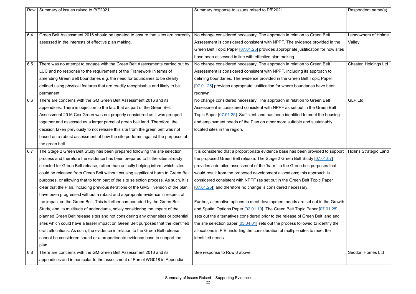|     | Row   Summary of issues raised to PfE2021                                             | Summary response to issues raised to PfE2021                                        | Respondent name(s)            |
|-----|---------------------------------------------------------------------------------------|-------------------------------------------------------------------------------------|-------------------------------|
|     |                                                                                       |                                                                                     |                               |
|     |                                                                                       |                                                                                     |                               |
| 6.4 | Green Belt Assessment 2016 should be updated to ensure that sites are correctly       | No change considered necessary. The approach in relation to Green Belt              | <b>Landowners of Holme</b>    |
|     | assessed in the interests of effective plan making.                                   | Assessment is considered consistent with NPPF. The evidence provided in the         | Valley                        |
|     |                                                                                       | Green Belt Topic Paper [07.01.25] provides appropriate justification for how sites  |                               |
|     |                                                                                       | have been assessed in line with effective plan making.                              |                               |
| 6.5 | There was no attempt to engage with the Green Belt Assessments carried out by         | No change considered necessary. The approach in relation to Green Belt              | <b>Chasten Holdings Ltd</b>   |
|     | LUC and no response to the requirements of the Framework in terms of                  | Assessment is considered consistent with NPPF, including its approach to            |                               |
|     | amending Green Belt boundaries e.g. the need for boundaries to be clearly             | defining boundaries. The evidence provided in the Green Belt Topic Paper            |                               |
|     | defined using physical features that are readily recognisable and likely to be        | [07.01.25] provides appropriate justification for where boundaries have been        |                               |
|     | permanent.                                                                            | redrawn.                                                                            |                               |
| 6.6 | There are concerns with the GM Green Belt Assessment 2016 and its                     | No change considered necessary. The approach in relation to Green Belt              | <b>GLP Ltd</b>                |
|     | appendices. There is objection to the fact that as part of the Green Belt             | Assessment is considered consistent with NPPF as set out in the Green Belt          |                               |
|     | Assessment 2016 Cox Green was not properly considered as it was grouped               | Topic Paper [07.01.25]. Sufficient land has been identified to meet the housing     |                               |
|     | together and assessed as a larger parcel of green belt land. Therefore, the           | and employment needs of the Plan on other more suitable and sustainably             |                               |
|     | decision taken previously to not release this site from the green belt was not        | located sites in the region.                                                        |                               |
|     | based on a robust assessment of how the site performs against the purposes of         |                                                                                     |                               |
|     | the green belt.                                                                       |                                                                                     |                               |
| 6.7 | The Stage 2 Green Belt Study has been prepared following the site selection           | It is considered that a proportionate evidence base has been provided to support    | <b>Hollins Strategic Land</b> |
|     | process and therefore the evidence has been prepared to fit the sites already         | the proposed Green Belt release. The Stage 2 Green Belt Study [07.01.07]            |                               |
|     | selected for Green Belt release, rather than actually helping inform which sites      | provides a detailed assessment of the 'harm' to the Green belt purposes that        |                               |
|     | could be released from Green Belt without causing significant harm to Green Belt      | would result from the proposed development allocations; this approach is            |                               |
|     | purposes, or allowing that to form part of the site selection process. As such, it is | considered consistent with NPPF (as set out in the Green Belt Topic Paper           |                               |
|     | clear that the Plan, including previous iterations of the GMSF version of the plan,   | $[07.01.25]$ ) and therefore no change is considered necessary.                     |                               |
|     | have been progressed without a robust and appropriate evidence in respect of          |                                                                                     |                               |
|     | the impact on the Green Belt. This is further compounded by the Green Belt            | Further, alternative options to meet development needs are set out in the Growth    |                               |
|     | Study, and its multitude of addendums, solely considering the impact of the           | and Spatial Options Paper [02.01.10]. The Green Belt Topic Paper [07.01.25]         |                               |
|     | planned Green Belt release sites and not considering any other sites or potential     | sets out the alternatives considered prior to the release of Green Belt land and    |                               |
|     | sites which could have a lesser impact on Green Belt purposes that the identified     | the site selection paper $[03.04.01]$ sets out the process followed to identify the |                               |
|     | draft allocations. As such, the evidence in relation to the Green Belt release        | allocations in PfE, including the consideration of multiple sites to meet the       |                               |
|     | cannot be considered sound or a proportionate evidence base to support the            | identified needs.                                                                   |                               |
|     | plan.                                                                                 |                                                                                     |                               |
| 6.8 | There are concerns with the GM Green Belt Assessment 2016 and its                     | See response to Row 6 above.                                                        | Seddon Homes Ltd              |
|     | appendices and in particular to the assessment of Parcel WG018 in Appendix            |                                                                                     |                               |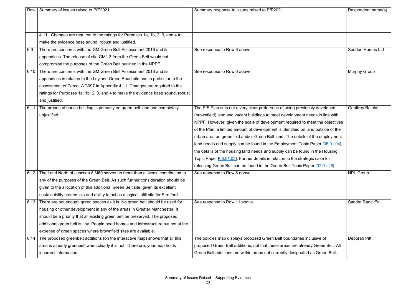| Row  | Summary of issues raised to PfE2021                                                   | Summary response to issues raised to PfE2021                                      | Respondent name(s)      |
|------|---------------------------------------------------------------------------------------|-----------------------------------------------------------------------------------|-------------------------|
|      |                                                                                       |                                                                                   |                         |
|      |                                                                                       |                                                                                   |                         |
|      | 4.11. Changes are required to the ratings for Purposes 1a, 1b, 2, 3, and 4 to         |                                                                                   |                         |
|      | make the evidence base sound, robust and justified.                                   |                                                                                   |                         |
| 6.9  | There are concerns with the GM Green Belt Assessment 2016 and its                     | See response to Row 6 above.                                                      | <b>Seddon Homes Ltd</b> |
|      | appendices. The release of site GM1.3 from the Green Belt would not                   |                                                                                   |                         |
|      | compromise the purposes of the Green Belt outlined in the NPPF.                       |                                                                                   |                         |
| 6.10 | There are concerns with the GM Green Belt Assessment 2016 and its                     |                                                                                   |                         |
|      |                                                                                       | See response to Row 6 above.                                                      | <b>Murphy Group</b>     |
|      | appendices in relation to the Leyland Green Road site and in particular to the        |                                                                                   |                         |
|      | assessment of Parcel WG097 in Appendix 4.11. Changes are required to the              |                                                                                   |                         |
|      | ratings for Purposes 1a, 1b, 2, 3, and 4 to make the evidence base sound, robust      |                                                                                   |                         |
|      | and justified.                                                                        |                                                                                   |                         |
| 6.11 | The proposed house building is primarily on green belt land and completely            | The PfE Plan sets out a very clear preference of using previously developed       | <b>Geoffrey Ralphs</b>  |
|      | unjustified.                                                                          | (brownfield) land and vacant buildings to meet development needs in line with     |                         |
|      |                                                                                       | NPPF. However, given the scale of development required to meet the objectives     |                         |
|      |                                                                                       | of the Plan, a limited amount of development is identified on land outside of the |                         |
|      |                                                                                       | urban area on greenfield and/or Green Belt land. The details of the employment    |                         |
|      |                                                                                       | land needs and supply can be found in the Employment Topic Paper [05.01.04],      |                         |
|      |                                                                                       | the details of the housing land needs and supply can be found in the Housing      |                         |
|      |                                                                                       | Topic Paper [06.01.03]. Further details in relation to the strategic case for     |                         |
|      |                                                                                       | releasing Green Belt can be found in the Green Belt Topic Paper [07.01.25]        |                         |
| 6.12 | The Land North of Junction 8 M60 serves no more than a 'weak' contribution to         | See response to Row 6 above.                                                      | <b>NPL Group</b>        |
|      | any of the purposes of the Green Belt. As such further consideration should be        |                                                                                   |                         |
|      | given to the allocation of this additional Green Belt site, given its excellent       |                                                                                   |                         |
|      | sustainability credentials and ability to act as a logical infill site for Stretford. |                                                                                   |                         |
|      | 6.13 There are not enough green spaces as it is. No green belt should be used for     | See response to Row 11 above.                                                     | Sandra Radcliffe        |
|      | housing or other development in any of the areas in Greater Manchester. It            |                                                                                   |                         |
|      | should be a priority that all existing green belt be preserved. The proposed          |                                                                                   |                         |
|      | additional green belt is tiny. People need homes and infrastructure but not at the    |                                                                                   |                         |
|      | expense of green spaces where brownfield sites are available.                         |                                                                                   |                         |
| 6.14 | The proposed greenbelt additions (on the interactive map) shows that all this         | The policies map displays proposed Green Belt boundaries inclusive of             | <b>Deborah Pitt</b>     |
|      | area is already greenbelt when clearly it is not. Therefore, your map holds           | proposed Green Belt additions, not that these areas are already Green Belt. All   |                         |
|      | incorrect information.                                                                | Green Belt additions are within areas not currently designated as Green Belt.     |                         |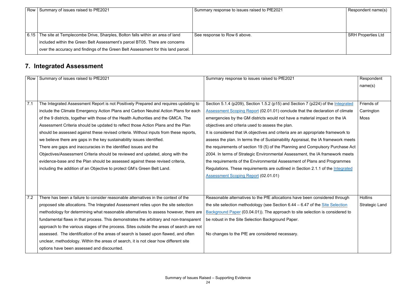|      | Row   Summary of issues raised to PfE2021                                                      | Summary response to issues raised to PfE2021 | Respondent name(s)        |
|------|------------------------------------------------------------------------------------------------|----------------------------------------------|---------------------------|
|      |                                                                                                |                                              |                           |
|      |                                                                                                |                                              |                           |
|      |                                                                                                |                                              |                           |
| 6.15 | The site at Templecombe Drive, Sharples, Bolton falls within an area of land                   | See response to Row 6 above.                 | <b>SRH Properties Ltd</b> |
|      | included within the Green Belt Assessment's parcel BT05. There are concerns                    |                                              |                           |
|      | $\mathrm{I}$ over the accuracy and findings of the Green Belt Assessment for this land parcel. |                                              |                           |

#### **7. Integrated Assessment**

| <b>Row</b> | Summary of issues raised to PfE2021                                                      | Summary response to issues raised to PfE2021                                      | Respondent<br>name(s) |
|------------|------------------------------------------------------------------------------------------|-----------------------------------------------------------------------------------|-----------------------|
|            |                                                                                          |                                                                                   |                       |
| 7.1        | The Integrated Assessment Report is not Positively Prepared and requires updating to     | Section 5.1.4 (p209), Section 1.5.2 (p15) and Section 7 (p224) of the Integrated  | Friends of            |
|            | include the Climate Emergency Action Plans and Carbon Neutral Action Plans for each      | Assessment Scoping Report (02.01.01) conclude that the declaration of climate     | Carrington            |
|            | of the 9 districts, together with those of the Health Authorities and the GMCA. The      | emergencies by the GM districts would not have a material impact on the IA        | <b>Moss</b>           |
|            | Assessment Criteria should be updated to reflect those Action Plans and the Plan         | objectives and criteria used to assess the plan.                                  |                       |
|            | should be assessed against these revised criteria. Without inputs from these reports,    | It is considered that IA objectives and criteria are an appropriate framework to  |                       |
|            | we believe there are gaps in the key sustainability issues identified.                   | assess the plan. In terms the of Sustainability Appraisal, the IA framework meets |                       |
|            | There are gaps and inaccuracies in the identified issues and the                         | the requirements of section 19 (5) of the Planning and Compulsory Purchase Act    |                       |
|            | Objectives/Assessment Criteria should be reviewed and updated, along with the            | 2004. In terms of Strategic Environmental Assessment, the IA framework meets      |                       |
|            | evidence-base and the Plan should be assessed against these revised criteria,            | the requirements of the Environmental Assessment of Plans and Programmes          |                       |
|            | including the addition of an Objective to protect GM's Green Belt Land.                  | Regulations. These requirements are outlined in Section 2.1.1 of the Integrated   |                       |
|            |                                                                                          | <b>Assessment Scoping Report (02.01.01)</b>                                       |                       |
|            |                                                                                          |                                                                                   |                       |
|            |                                                                                          |                                                                                   |                       |
| 7.2        | There has been a failure to consider reasonable alternatives in the context of the       | Reasonable alternatives to the PfE allocations have been considered through       | Hollins               |
|            | proposed site allocations. The Integrated Assessment relies upon the site selection      | the site selection methodology (see Section $6.44 - 6.47$ of the Site Selection   | <b>Strategic Land</b> |
|            | methodology for determining what reasonable alternatives to assess however, there are    | Background Paper (03.04.01)). The approach to site selection is considered to     |                       |
|            | fundamental flaws in that process. This demonstrates the arbitrary and non-transparent   | be robust in the Site Selection Background Paper.                                 |                       |
|            | approach to the various stages of the process. Sites outside the areas of search are not |                                                                                   |                       |
|            | assessed. The identification of the areas of search is based upon flawed, and often      | No changes to the PfE are considered necessary.                                   |                       |
|            | unclear, methodology. Within the areas of search, it is not clear how different site     |                                                                                   |                       |
|            | options have been assessed and discounted.                                               |                                                                                   |                       |
|            |                                                                                          |                                                                                   |                       |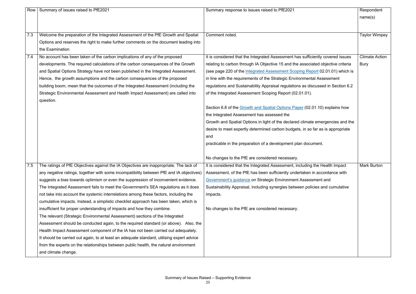|     | Row   Summary of issues raised to PfE2021                                                 | Summary response to issues raised to PfE2021                                     | Respondent            |
|-----|-------------------------------------------------------------------------------------------|----------------------------------------------------------------------------------|-----------------------|
|     |                                                                                           |                                                                                  | name(s)               |
|     |                                                                                           |                                                                                  |                       |
|     |                                                                                           |                                                                                  |                       |
| 7.3 | Welcome the preparation of the Integrated Assessment of the PfE Growth and Spatial        | Comment noted.                                                                   | <b>Taylor Wimpey</b>  |
|     | Options and reserves the right to make further comments on the document leading into      |                                                                                  |                       |
|     | the Examination                                                                           |                                                                                  |                       |
| 7.4 | No account has been taken of the carbon implications of any of the proposed               | It is considered that the Integrated Assessment has sufficiently covered issues  | <b>Climate Action</b> |
|     | developments. The required calculations of the carbon consequences of the Growth          | relating to carbon through IA Objective 15 and the associated objective criteria | <b>Bury</b>           |
|     | and Spatial Options Strategy have not been published in the Integrated Assessment.        | (see page 220 of the Integrated Assessment Scoping Report 02.01.01) which is     |                       |
|     | Hence, the growth assumptions and the carbon consequences of the proposed                 | in line with the requirements of the Strategic Environmental Assessment          |                       |
|     | building boom, mean that the outcomes of the Integrated Assessment (including the         | regulations and Sustainability Appraisal regulations as discussed in Section 6.2 |                       |
|     | Strategic Environmental Assessment and Health Impact Assessment) are called into          | of the Integrated Assessment Scoping Report (02.01.01).                          |                       |
|     | question.                                                                                 |                                                                                  |                       |
|     |                                                                                           | Section 6.8 of the Growth and Spatial Options Paper (02.01.10) explains how      |                       |
|     |                                                                                           | the Integrated Assessment has assessed the                                       |                       |
|     |                                                                                           | Growth and Spatial Options in light of the declared climate emergencies and the  |                       |
|     |                                                                                           | desire to meet expertly determined carbon budgets, in so far as is appropriate   |                       |
|     |                                                                                           | and                                                                              |                       |
|     |                                                                                           | practicable in the preparation of a development plan document.                   |                       |
|     |                                                                                           |                                                                                  |                       |
|     |                                                                                           | No changes to the PfE are considered necessary.                                  |                       |
| 7.5 | The ratings of PfE Objectives against the IA Objectives are inappropriate. The lack of    | It is considered that the Integrated Assessment, including the Health Impact     | <b>Mark Burton</b>    |
|     | any negative ratings, together with some incompatibility between PfE and IA objectives)   | Assessment, of the PfE has been sufficiently undertaken in accordance with       |                       |
|     | suggests a bias towards optimism or even the suppression of inconvenient evidence.        | Government's guidance on Strategic Environment Assessment and                    |                       |
|     | The Integrated Assessment fails to meet the Government's SEA regulations as it does       | Sustainability Appraisal, including synergies between policies and cumulative    |                       |
|     | not take into account the systemic interrelations among these factors, including the      | impacts.                                                                         |                       |
|     | cumulative impacts. Instead, a simplistic checklist approach has been taken, which is     |                                                                                  |                       |
|     | insufficient for proper understanding of impacts and how they combine.                    | No changes to the PfE are considered necessary.                                  |                       |
|     | The relevant (Strategic Environmental Assessment) sections of the Integrated              |                                                                                  |                       |
|     | Assessment should be conducted again, to the required standard (or above). Also, the      |                                                                                  |                       |
|     | Health Impact Assessment component of the IA has not been carried out adequately.         |                                                                                  |                       |
|     | It should be carried out again, to at least an adequate standard, utilising expert advice |                                                                                  |                       |
|     | from the experts on the relationships between public health, the natural environment      |                                                                                  |                       |
|     | and climate change.                                                                       |                                                                                  |                       |
|     |                                                                                           |                                                                                  |                       |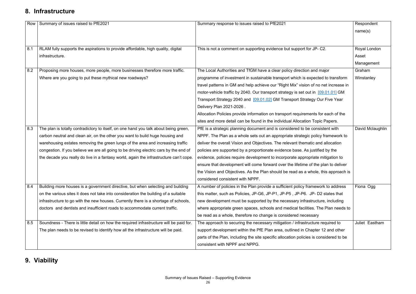#### **8. Infrastructure**

| Row | Summary of issues raised to PfE2021                                                     | Summary response to issues raised to PfE2021                                           | Respondent<br>name(s) |
|-----|-----------------------------------------------------------------------------------------|----------------------------------------------------------------------------------------|-----------------------|
| 8.1 | RLAM fully supports the aspirations to provide affordable, high quality, digital        | This is not a comment on supporting evidence but support for JP-C2.                    | Royal London          |
|     | infrastructure.                                                                         |                                                                                        | Asset                 |
| 8.2 | Proposing more houses, more people, more businesses therefore more traffic.             | The Local Authorities and TfGM have a clear policy direction and major                 | Management<br>Graham  |
|     | Where are you going to put these mythical new roadways?                                 | programme of investment in sustainable transport which is expected to transform        | Winstanley            |
|     |                                                                                         | travel patterns in GM and help achieve our "Right Mix" vision of no net increase in    |                       |
|     |                                                                                         | motor-vehicle traffic by 2040. Our transport strategy is set out in [09.01.01] GM      |                       |
|     |                                                                                         | Transport Strategy 2040 and [09.01.02] GM Transport Strategy Our Five Year             |                       |
|     |                                                                                         | Delivery Plan 2021-2026.                                                               |                       |
|     |                                                                                         | Allocation Policies provide information on transport requirements for each of the      |                       |
|     |                                                                                         | sites and more detail can be found in the individual Allocation Topic Papers.          |                       |
| 8.3 | The plan is totally contradictory to itself, on one hand you talk about being green,    | PfE is a strategic planning document and is considered to be consistent with           | David Mclaughlin      |
|     | carbon neutral and clean air, on the other you want to build huge housing and           | NPPF. The Plan as a whole sets out an appropriate strategic policy framework to        |                       |
|     | warehousing estates removing the green lungs of the area and increasing traffic         | deliver the overall Vision and Objectives. The relevant thematic and allocation        |                       |
|     | congestion. If you believe we are all going to be driving electric cars by the end of   | policies are supported by a proportionate evidence base. As justified by the           |                       |
|     | the decade you really do live in a fantasy world, again the infrastructure can't cope.  | evidence, policies require development to incorporate appropriate mitigation to        |                       |
|     |                                                                                         | ensure that development will come forward over the lifetime of the plan to deliver     |                       |
|     |                                                                                         | the Vision and Objectives. As the Plan should be read as a whole, this approach is     |                       |
|     |                                                                                         | considered consistent with NPPF.                                                       |                       |
| 8.4 | Building more houses is a government directive, but when selecting and building         | A number of policies in the Plan provide a sufficient policy framework to address      | Fiona Ogg             |
|     | on the various sites it does not take into consideration the building of a suitable     | this matter, such as Policies, JP-G6, JP-P1, JP-P5, JP-P6. JP-D2 states that           |                       |
|     | infrastructure to go with the new houses. Currently there is a shortage of schools,     | new development must be supported by the necessary infrastructure, including           |                       |
|     | doctors and dentists and insufficient roads to accommodate current traffic.             | where appropriate green spaces, schools and medical facilities. The Plan needs to      |                       |
|     |                                                                                         | be read as a whole, therefore no change is considered necessary                        |                       |
| 8.5 | Soundness - There is little detail on how the required infrastructure will be paid for. | The approach to securing the necessary mitigation / infrastructure required to         | Juliet Eastham        |
|     | The plan needs to be revised to identify how all the infrastructure will be paid.       | support development within the PfE Plan area, outlined in Chapter 12 and other         |                       |
|     |                                                                                         | parts of the Plan, including the site specific allocation policies is considered to be |                       |
|     |                                                                                         | consistent with NPPF and NPPG.                                                         |                       |

#### **9. Viability**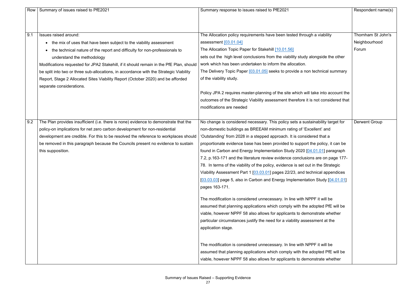| Row | Summary of issues raised to PfE2021                                                     | Summary response to issues raised to PfE2021                                       | Respondent name(s)   |
|-----|-----------------------------------------------------------------------------------------|------------------------------------------------------------------------------------|----------------------|
|     |                                                                                         |                                                                                    |                      |
| 9.1 | Issues raised around:                                                                   | The Allocation policy requirements have been tested through a viability            | Thornham St John's   |
|     | • the mix of uses that have been subject to the viability assessment                    | assessment [03.01.04]                                                              | Neighbourhood        |
|     | the technical nature of the report and difficulty for non-professionals to              | The Allocation Topic Paper for Stakehill [10.01.56]                                | Forum                |
|     | understand the methodology                                                              | sets out the high level conclusions from the viability study alongside the other   |                      |
|     | Modifications requested for JPA2 Stakehill, if it should remain in the PfE Plan, should | work which has been undertaken to inform the allocation.                           |                      |
|     | be split into two or three sub-allocations, in accordance with the Strategic Viability  | The Delivery Topic Paper [03.01.05] seeks to provide a non technical summary       |                      |
|     | Report, Stage 2 Allocated Sites Viability Report (October 2020) and be afforded         | of the viability study.                                                            |                      |
|     | separate considerations.                                                                |                                                                                    |                      |
|     |                                                                                         | Policy JPA 2 requires master-planning of the site which will take into account the |                      |
|     |                                                                                         | outcomes of the Strategic Viability assessment therefore it is not considered that |                      |
|     |                                                                                         | modifications are needed                                                           |                      |
|     |                                                                                         |                                                                                    |                      |
| 9.2 | The Plan provides insufficient (i.e. there is none) evidence to demonstrate that the    | No change is considered necessary. This policy sets a sustainability target for    | <b>Derwent Group</b> |
|     | policy-on implications for net zero carbon development for non-residential              | non-domestic buildings as BREEAM minimum rating of 'Excellent' and                 |                      |
|     | development are credible. For this to be resolved the reference to workplaces should    | 'Outstanding' from 2028 in a stepped approach. It is considered that a             |                      |
|     | be removed in this paragraph because the Councils present no evidence to sustain        | proportionate evidence base has been provided to support the policy, it can be     |                      |
|     | this supposition.                                                                       | found in Carbon and Energy Implementation Study 2020 [04.01.01] paragraph          |                      |
|     |                                                                                         | 7.2, p.163-171 and the literature review evidence conclusions are on page 177-     |                      |
|     |                                                                                         | 78. In terms of the viability of the policy, evidence is set out in the Strategic  |                      |
|     |                                                                                         | Viability Assessment Part 1 [03.03.01] pages 22/23, and technical appendices       |                      |
|     |                                                                                         | [03.03.03] page 5, also in Carbon and Energy Implementation Study [04.01.01]       |                      |
|     |                                                                                         | pages 163-171.                                                                     |                      |
|     |                                                                                         | The modification is considered unnecessary. In line with NPPF it will be           |                      |
|     |                                                                                         | assumed that planning applications which comply with the adopted PfE will be       |                      |
|     |                                                                                         | viable, however NPPF 58 also allows for applicants to demonstrate whether          |                      |
|     |                                                                                         | particular circumstances justify the need for a viability assessment at the        |                      |
|     |                                                                                         | application stage.                                                                 |                      |
|     |                                                                                         |                                                                                    |                      |
|     |                                                                                         | The modification is considered unnecessary. In line with NPPF it will be           |                      |
|     |                                                                                         | assumed that planning applications which comply with the adopted PfE will be       |                      |
|     |                                                                                         | viable, however NPPF 58 also allows for applicants to demonstrate whether          |                      |

|                             | Respondent name(s)     |
|-----------------------------|------------------------|
|                             | Thornham St John's     |
| a viability                 |                        |
|                             | Neighbourhood<br>Forum |
| ngside the other            |                        |
| echnical summary            |                        |
| ke into account the         |                        |
| not considered that         |                        |
| nability target for         | <b>Derwent Group</b>   |
| lent' and                   |                        |
| ed that a                   |                        |
| e policy, it can be         |                        |
| 01.01] paragraph            |                        |
| are on page 177-            |                        |
| n the Strategic             |                        |
| nical appendices            |                        |
| ا Study [ <u>04.01.01</u> ] |                        |
| F it will be                |                        |
| opted PfE will be           |                        |
| strate whether              |                        |
| ment at the                 |                        |
|                             |                        |
| F it will be                |                        |
| opted PfE will be           |                        |
| strate whether              |                        |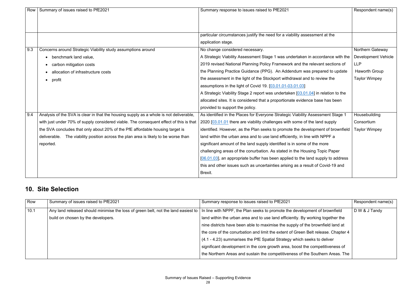| Row | Summary of issues raised to PfE2021                                                    | Summary response to issues raised to PfE2021                                        | Respondent name(s)         |
|-----|----------------------------------------------------------------------------------------|-------------------------------------------------------------------------------------|----------------------------|
|     |                                                                                        |                                                                                     |                            |
|     |                                                                                        |                                                                                     |                            |
|     |                                                                                        | particular circumstances justify the need for a viability assessment at the         |                            |
|     |                                                                                        | application stage.                                                                  |                            |
| 9.3 | Concerns around Strategic Viability study assumptions around                           | No change considered necessary.                                                     | Northern Gateway           |
|     |                                                                                        |                                                                                     |                            |
|     | benchmark land value,                                                                  | A Strategic Viability Assessment Stage 1 was undertaken in accordance with the      | <b>Development Vehicle</b> |
|     | carbon mitigation costs                                                                | 2019 revised National Planning Policy Framework and the relevant sections of        | <b>LLP</b>                 |
|     | allocation of infrastructure costs                                                     | the Planning Practice Guidance (PPG). An Addendum was prepared to update            | <b>Haworth Group</b>       |
|     | profit<br>$\bullet$                                                                    | the assessment in the light of the Stockport withdrawal and to review the           | <b>Taylor Wimpey</b>       |
|     |                                                                                        | assumptions in the light of Covid 19. [03.01.01-03.01.03]                           |                            |
|     |                                                                                        | A Strategic Viability Stage 2 report was undertaken [03.01.04] in relation to the   |                            |
|     |                                                                                        | allocated sites. It is considered that a proportionate evidence base has been       |                            |
|     |                                                                                        | provided to support the policy.                                                     |                            |
| 9.4 | Analysis of the SVA is clear in that the housing supply as a whole is not deliverable, | As identified in the Places for Everyone Strategic Viability Assessment Stage 1     | Housebuilding              |
|     | with just under 70% of supply considered viable. The consequent effect of this is that | 2020 [03.01.01 there are viability challenges with some of the land supply          | Consortium                 |
|     | the SVA concludes that only about 20% of the PfE affordable housing target is          | identified. However, as the Plan seeks to promote the development of brownfield     | <b>Taylor Wimpey</b>       |
|     | The viability position across the plan area is likely to be worse than<br>deliverable. | land within the urban area and to use land efficiently, in line with NPPF a         |                            |
|     | reported.                                                                              | significant amount of the land supply identified is in some of the more             |                            |
|     |                                                                                        | challenging areas of the conurbation. As stated in the Housing Topic Paper          |                            |
|     |                                                                                        | $[06.01.03]$ , an appropriate buffer has been applied to the land supply to address |                            |
|     |                                                                                        | this and other issues such as uncertainties arising as a result of Covid-19 and     |                            |
|     |                                                                                        | Brexit.                                                                             |                            |

#### **10. Site Selection**

| Row  | Summary of issues raised to PfE2021                                               | Summary response to issues raised to PfE2021                                      | Respondent name(s) |
|------|-----------------------------------------------------------------------------------|-----------------------------------------------------------------------------------|--------------------|
| 10.1 | Any land released should minimise the loss of green belt, not the land easiest to | In line with NPPF, the Plan seeks to promote the development of brownfield        | D W & J Tandy      |
|      | build on chosen by the developers.                                                | I and within the urban area and to use land efficiently. By working together the  |                    |
|      |                                                                                   | nine districts have been able to maximise the supply of the brownfield land at    |                    |
|      |                                                                                   | the core of the conurbation and limit the extent of Green Belt release. Chapter 4 |                    |
|      |                                                                                   | (4.1 - 4.23) summarises the PfE Spatial Strategy which seeks to deliver           |                    |
|      |                                                                                   | significant development in the core growth area, boost the competitiveness of     |                    |
|      |                                                                                   | the Northern Areas and sustain the competitiveness of the Southern Areas. The     |                    |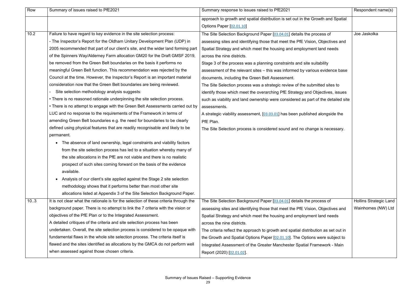| Row  | Summary of issues raised to PfE2021                                                   | Summary response to issues raised to PfE2021                                       | Respondent name(s)            |
|------|---------------------------------------------------------------------------------------|------------------------------------------------------------------------------------|-------------------------------|
|      |                                                                                       | approach to growth and spatial distribution is set out in the Growth and Spatial   |                               |
|      |                                                                                       | Options Paper [02.01.10]                                                           |                               |
| 10.2 | Failure to have regard to key evidence in the site selection process:                 | The Site Selection Background Paper [03.04.01] details the process of              | Joe Jaskolka                  |
|      | - The Inspector's Report for the Oldham Unitary Development Plan (UDP) in             | assessing sites and identifying those that meet the PfE Vision, Objectives and     |                               |
|      | 2005 recommended that part of our client's site, and the wider land forming part      | Spatial Strategy and which meet the housing and employment land needs              |                               |
|      | of the Spinners Way/Alderney Farm allocation GM20 for the Draft GMSF 2019,            | across the nine districts.                                                         |                               |
|      | be removed from the Green Belt boundaries on the basis it performs no                 | Stage 3 of the process was a planning constraints and site suitability             |                               |
|      | meaningful Green Belt function. This recommendation was rejected by the               | assessment of the relevant sites - this was informed by various evidence base      |                               |
|      | Council at the time. However, the Inspector's Report is an important material         | documents, including the Green Belt Assessment.                                    |                               |
|      | consideration now that the Green Belt boundaries are being reviewed.                  | The Site Selection process was a strategic review of the submitted sites to        |                               |
|      | Site selection methodology analysis suggests:                                         | identify those which meet the overarching PfE Strategy and Objectives, issues      |                               |
|      | • There is no reasoned rationale underpinning the site selection process.             | such as viability and land ownership were considered as part of the detailed site  |                               |
|      | • There is no attempt to engage with the Green Belt Assessments carried out by        | assessments.                                                                       |                               |
|      | LUC and no response to the requirements of the Framework in terms of                  | A strategic viability assessment, [03.03.01] has been published alongside the      |                               |
|      | amending Green Belt boundaries e.g. the need for boundaries to be clearly             | PfE Plan.                                                                          |                               |
|      | defined using physical features that are readily recognisable and likely to be        | The Site Selection process is considered sound and no change is necessary.         |                               |
|      | permanent.                                                                            |                                                                                    |                               |
|      | The absence of land ownership, legal constraints and viability factors<br>$\bullet$   |                                                                                    |                               |
|      | from the site selection process has led to a situation whereby many of                |                                                                                    |                               |
|      | the site allocations in the PfE are not viable and there is no realistic              |                                                                                    |                               |
|      | prospect of such sites coming forward on the basis of the evidence                    |                                                                                    |                               |
|      | available.                                                                            |                                                                                    |                               |
|      | Analysis of our client's site applied against the Stage 2 site selection<br>$\bullet$ |                                                                                    |                               |
|      | methodology shows that it performs better than most other site                        |                                                                                    |                               |
|      | allocations listed at Appendix 3 of the Site Selection Background Paper.              |                                                                                    |                               |
| 10.3 | It is not clear what the rationale is for the selection of these criteria through the | The Site Selection Background Paper [03.04.01] details the process of              | <b>Hollins Strategic Land</b> |
|      | background paper. There is no attempt to link the 7 criteria with the vision or       | assessing sites and identifying those that meet the PfE Vision, Objectives and     | Wainhomes (NW) Ltd            |
|      | objectives of the PfE Plan or to the Integrated Assessment.                           | Spatial Strategy and which meet the housing and employment land needs              |                               |
|      | A detailed critiques of the criteria and site selection process has been              | across the nine districts.                                                         |                               |
|      | undertaken. Overall, the site selection process is considered to be opaque with       | The criteria reflect the approach to growth and spatial distribution as set out in |                               |
|      | fundamental flaws in the whole site selection process. The criteria itself is         | the Growth and Spatial Options Paper [02.01.10]. The Options were subject to       |                               |
|      | flawed and the sites identified as allocations by the GMCA do not perform well        | Integrated Assessment of the Greater Manchester Spatial Framework - Main           |                               |
|      | when assessed against those chosen criteria.                                          | Report (2020) [02.01.02].                                                          |                               |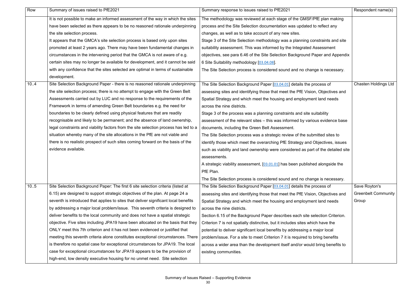| Row  | Summary of issues raised to PfE2021                                                  | Summary response to issues raised to PfE2021                                      | Respondent name(s)          |
|------|--------------------------------------------------------------------------------------|-----------------------------------------------------------------------------------|-----------------------------|
|      | It is not possible to make an informed assessment of the way in which the sites      | The methodology was reviewed at each stage of the GMSF/PfE plan making            |                             |
|      | have been selected as there appears to be no reasoned rationale underpinning         | process and the Site Selection documentation was updated to reflect any           |                             |
|      | the site selection process.                                                          | changes, as well as to take account of any new sites.                             |                             |
|      | It appears that the GMCA's site selection process is based only upon sites           | Stage 3 of the Site Selection methodology was a planning constraints and site     |                             |
|      | promoted at least 2 years ago. There may have been fundamental changes in            | suitability assessment. This was informed by the Integrated Assessment            |                             |
|      | circumstances in the intervening period that the GMCA is not aware of e.g.           | objectives, see para 6.46 of the Site Selection Background Paper and Appendix     |                             |
|      | certain sites may no longer be available for development, and it cannot be said      | 6 Site Suitability methodology [03.04.08].                                        |                             |
|      | with any confidence that the sites selected are optimal in terms of sustainable      | The Site Selection process is considered sound and no change is necessary.        |                             |
|      | development.                                                                         |                                                                                   |                             |
| 10.4 | Site Selection Background Paper - there is no reasoned rationale underpinning        | The Site Selection Background Paper [03.04.01] details the process of             | <b>Chasten Holdings Ltd</b> |
|      | the site selection process; there is no attempt to engage with the Green Belt        | assessing sites and identifying those that meet the PfE Vision, Objectives and    |                             |
|      | Assessments carried out by LUC and no response to the requirements of the            | Spatial Strategy and which meet the housing and employment land needs             |                             |
|      | Framework in terms of amending Green Belt boundaries e.g. the need for               | across the nine districts.                                                        |                             |
|      | boundaries to be clearly defined using physical features that are readily            | Stage 3 of the process was a planning constraints and site suitability            |                             |
|      | recognisable and likely to be permanent; and the absence of land ownership,          | assessment of the relevant sites - this was informed by various evidence base     |                             |
|      | legal constraints and viability factors from the site selection process has led to a | documents, including the Green Belt Assessment.                                   |                             |
|      | situation whereby many of the site allocations in the PfE are not viable and         | The Site Selection process was a strategic review of the submitted sites to       |                             |
|      | there is no realistic prospect of such sites coming forward on the basis of the      | identify those which meet the overarching PfE Strategy and Objectives, issues     |                             |
|      | evidence available.                                                                  | such as viability and land ownership were considered as part of the detailed site |                             |
|      |                                                                                      | assessments.                                                                      |                             |
|      |                                                                                      | A strategic viability assessment, [03.01.01] has been published alongside the     |                             |
|      |                                                                                      | PfE Plan.                                                                         |                             |
|      |                                                                                      | The Site Selection process is considered sound and no change is necessary.        |                             |
| 10.5 | Site Selection Background Paper: The first 6 site selection criteria (listed at      | The Site Selection Background Paper [03.04.01] details the process of             | Save Royton's               |
|      | 6.15) are designed to support strategic objectives of the plan. At page 24 a         | assessing sites and identifying those that meet the PfE Vision, Objectives and    | <b>Greenbelt Community</b>  |
|      | seventh is introduced that applies to sites that deliver significant local benefits  | Spatial Strategy and which meet the housing and employment land needs             | Group                       |
|      | by addressing a major local problem/issue. This seventh criteria is designed to      | across the nine districts.                                                        |                             |
|      | deliver benefits to the local community and does not have a spatial strategic        | Section 6.15 of the Background Paper describes each site selection Criterion.     |                             |
|      | objective. Five sites including JPA19 have been allocated on the basis that they     | Criterion 7 is not spatially distinctive, but it includes sites which have the    |                             |
|      | ONLY meet this 7th criterion and it has not been evidenced or justified that         | potential to deliver significant local benefits by addressing a major local       |                             |
|      | meeting this seventh criteria alone constitutes exceptional circumstances. There     | problem/issue. For a site to meet Criterion 7 it is required to bring benefits    |                             |
|      | is therefore no spatial case for exceptional circumstances for JPA19. The local      | across a wider area than the development itself and/or would bring benefits to    |                             |
|      | case for exceptional circumstances for JPA19 appears to be the provision of          | existing communities.                                                             |                             |
|      | high-end, low density executive housing for no unmet need. Site selection            |                                                                                   |                             |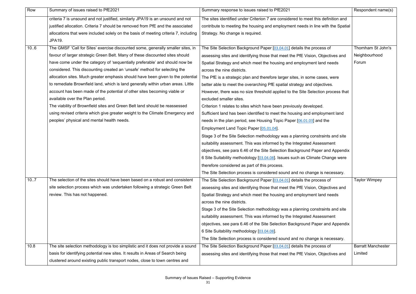| Row  | Summary of issues raised to PfE2021                                                 | Summary response to issues raised to PfE2021                                      | Respondent name(s)        |
|------|-------------------------------------------------------------------------------------|-----------------------------------------------------------------------------------|---------------------------|
|      | criteria 7 is unsound and not justified, similarly JPA19 is an unsound and not      | The sites identified under Criterion 7 are considered to meet this definition and |                           |
|      | justified allocation. Criteria 7 should be removed from PfE and the associated      | contribute to meeting the housing and employment needs in line with the Spatial   |                           |
|      | allocations that were included solely on the basis of meeting criteria 7, including | Strategy. No change is required.                                                  |                           |
|      | <b>JPA19.</b>                                                                       |                                                                                   |                           |
| 10.6 | The GMSF 'Call for Sites' exercise discounted some, generally smaller sites, in     | The Site Selection Background Paper [03.04.01] details the process of             | Thornham St John's        |
|      | favour of larger strategic Green Belt. Many of these discounted sites should        | assessing sites and identifying those that meet the PfE Vision, Objectives and    | Neighbourhood             |
|      | have come under the category of 'sequentially preferable' and should now be         | Spatial Strategy and which meet the housing and employment land needs             | Forum                     |
|      | considered. This discounting created an 'unsafe' method for selecting the           | across the nine districts.                                                        |                           |
|      | allocation sites. Much greater emphasis should have been given to the potential     | The PfE is a strategic plan and therefore larger sites, in some cases, were       |                           |
|      | to remediate Brownfield land, which is land generally within urban areas. Little    | better able to meet the overarching PfE spatial strategy and objectives.          |                           |
|      | account has been made of the potential of other sites becoming viable or            | However, there was no size threshold applied to the Site Selection process that   |                           |
|      | available over the Plan period.                                                     | excluded smaller sites.                                                           |                           |
|      | The viability of Brownfield sites and Green Belt land should be reassessed          | Criterion 1 relates to sites which have been previously developed.                |                           |
|      | using revised criteria which give greater weight to the Climate Emergency and       | Sufficient land has been identified to meet the housing and employment land       |                           |
|      | peoples' physical and mental health needs.                                          | needs in the plan period, see Housing Topic Paper [06.01.03] and the              |                           |
|      |                                                                                     | Employment Land Topic Paper [05.01.04].                                           |                           |
|      |                                                                                     | Stage 3 of the Site Selection methodology was a planning constraints and site     |                           |
|      |                                                                                     | suitability assessment. This was informed by the Integrated Assessment            |                           |
|      |                                                                                     | objectives, see para 6.46 of the Site Selection Background Paper and Appendix     |                           |
|      |                                                                                     | 6 Site Suitability methodology [03.04.08]. Issues such as Climate Change were     |                           |
|      |                                                                                     | therefore considered as part of this process.                                     |                           |
|      |                                                                                     | The Site Selection process is considered sound and no change is necessary.        |                           |
| 10.7 | The selection of the sites should have been based on a robust and consistent        | The Site Selection Background Paper [03.04.01] details the process of             | <b>Taylor Wimpey</b>      |
|      | site selection process which was undertaken following a strategic Green Belt        | assessing sites and identifying those that meet the PfE Vision, Objectives and    |                           |
|      | review. This has not happened.                                                      | Spatial Strategy and which meet the housing and employment land needs             |                           |
|      |                                                                                     | across the nine districts.                                                        |                           |
|      |                                                                                     | Stage 3 of the Site Selection methodology was a planning constraints and site     |                           |
|      |                                                                                     | suitability assessment. This was informed by the Integrated Assessment            |                           |
|      |                                                                                     | objectives, see para 6.46 of the Site Selection Background Paper and Appendix     |                           |
|      |                                                                                     | 6 Site Suitability methodology [03.04.08].                                        |                           |
|      |                                                                                     | The Site Selection process is considered sound and no change is necessary.        |                           |
| 10.8 | The site selection methodology is too simplistic and it does not provide a sound    | The Site Selection Background Paper [03.04.01] details the process of             | <b>Barratt Manchester</b> |
|      | basis for identifying potential new sites. It results in Areas of Search being      | assessing sites and identifying those that meet the PfE Vision, Objectives and    | Limited                   |
|      | clustered around existing public transport nodes, close to town centres and         |                                                                                   |                           |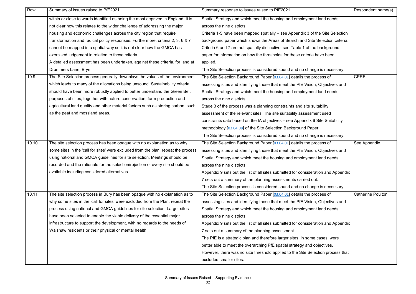| Row   | Summary of issues raised to PfE2021                                                | Summary response to issues raised to PfE2021                                       | Respondent name(s)       |
|-------|------------------------------------------------------------------------------------|------------------------------------------------------------------------------------|--------------------------|
|       | within or close to wards identified as being the most deprived in England. It is   | Spatial Strategy and which meet the housing and employment land needs              |                          |
|       | not clear how this relates to the wider challenge of addressing the major          | across the nine districts.                                                         |                          |
|       | housing and economic challenges across the city region that require                | Criteria 1-5 have been mapped spatially – see Appendix 3 of the Site Selection     |                          |
|       | transformation and radical policy responses. Furthermore, criteria 2, 3, 6 & 7     | background paper which shows the Areas of Search and Site Selection criteria.      |                          |
|       | cannot be mapped in a spatial way so it is not clear how the GMCA has              | Criteria 6 and 7 are not spatially distinctive, see Table 1 of the background      |                          |
|       | exercised judgement in relation to these criteria.                                 | paper for information on how the thresholds for these criteria have been           |                          |
|       | A detailed assessment has been undertaken, against these criteria, for land at     | applied.                                                                           |                          |
|       | Drummers Lane, Bryn.                                                               | The Site Selection process is considered sound and no change is necessary.         |                          |
| 10.9  | The Site Selection process generally downplays the values of the environment       | The Site Selection Background Paper [03.04.01] details the process of              | <b>CPRE</b>              |
|       | which leads to many of the allocations being unsound. Sustainability criteria      | assessing sites and identifying those that meet the PfE Vision, Objectives and     |                          |
|       | should have been more robustly applied to better understand the Green Belt         | Spatial Strategy and which meet the housing and employment land needs              |                          |
|       | purposes of sites, together with nature conservation, farm production and          | across the nine districts.                                                         |                          |
|       | agricultural land quality and other material factors such as storing carbon, such  | Stage 3 of the process was a planning constraints and site suitability             |                          |
|       | as the peat and mossland areas.                                                    | assessment of the relevant sites. The site suitability assessment used             |                          |
|       |                                                                                    | constraints data based on the IA objectives - see Appendix 6 Site Suitability      |                          |
|       |                                                                                    | methodology [03.04.08] of the Site Selection Background Paper.                     |                          |
|       |                                                                                    | The Site Selection process is considered sound and no change is necessary.         |                          |
| 10.10 | The site selection process has been opaque with no explanation as to why           | The Site Selection Background Paper [03.04.01] details the process of              | See Appendix.            |
|       | some sites in the 'call for sites' were excluded from the plan, repeat the process | assessing sites and identifying those that meet the PfE Vision, Objectives and     |                          |
|       | using national and GMCA guidelines for site selection. Meetings should be          | Spatial Strategy and which meet the housing and employment land needs              |                          |
|       | recorded and the rationale for the selection/rejection of every site should be     | across the nine districts.                                                         |                          |
|       | available including considered alternatives.                                       | Appendix 9 sets out the list of all sites submitted for consideration and Appendix |                          |
|       |                                                                                    | 7 sets out a summary of the planning assessments carried out.                      |                          |
|       |                                                                                    | The Site Selection process is considered sound and no change is necessary.         |                          |
| 10.11 | The site selection process in Bury has been opaque with no explanation as to       | The Site Selection Background Paper [03.04.01] details the process of              | <b>Catherine Poulton</b> |
|       | why some sites in the 'call for sites' were excluded from the Plan, repeat the     | assessing sites and identifying those that meet the PfE Vision, Objectives and     |                          |
|       | process using national and GMCA guidelines for site selection. Larger sites        | Spatial Strategy and which meet the housing and employment land needs              |                          |
|       | have been selected to enable the viable delivery of the essential major            | across the nine districts.                                                         |                          |
|       | infrastructure to support the development, with no regards to the needs of         | Appendix 9 sets out the list of all sites submitted for consideration and Appendix |                          |
|       | Walshaw residents or their physical or mental health.                              | 7 sets out a summary of the planning assessment.                                   |                          |
|       |                                                                                    | The PfE is a strategic plan and therefore larger sites, in some cases, were        |                          |
|       |                                                                                    | better able to meet the overarching PfE spatial strategy and objectives.           |                          |
|       |                                                                                    | However, there was no size threshold applied to the Site Selection process that    |                          |
|       |                                                                                    | excluded smaller sites.                                                            |                          |
|       |                                                                                    |                                                                                    |                          |

|                            | Respondent name(s)       |
|----------------------------|--------------------------|
| าt land needs              |                          |
|                            |                          |
| the Site Selection         |                          |
| <b>Selection criteria.</b> |                          |
| e background               |                          |
| have been                  |                          |
|                            |                          |
| ge is necessary.           |                          |
| rocess of                  | <b>CPRE</b>              |
| า, Objectives and          |                          |
| าt land needs              |                          |
|                            |                          |
| uitability                 |                          |
| ent used                   |                          |
| Site Suitability           |                          |
| er.                        |                          |
| ge is necessary.           |                          |
| rocess of                  | See Appendix.            |
| า, Objectives and          |                          |
| าt land needs              |                          |
|                            |                          |
| ation and Appendix         |                          |
| лt.                        |                          |
| ge is necessary.           |                          |
| rocess of                  | <b>Catherine Poulton</b> |
| า, Objectives and          |                          |
| าt land needs              |                          |
|                            |                          |
| ation and Appendix         |                          |
|                            |                          |
| e cases, were              |                          |
| bbjectives.                |                          |
| ection process that        |                          |
|                            |                          |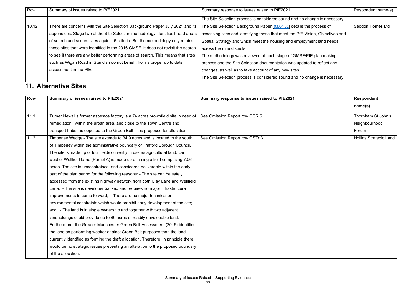| Row   | Summary of issues raised to PfE2021                                               | Summary response to issues raised to PfE2021                                   | Respondent name(s) |
|-------|-----------------------------------------------------------------------------------|--------------------------------------------------------------------------------|--------------------|
|       |                                                                                   | The Site Selection process is considered sound and no change is necessary.     |                    |
| 10.12 | There are concerns with the Site Selection Background Paper July 2021 and its     | The Site Selection Background Paper [03.04.01] details the process of          | Seddon Homes Ltd   |
|       | appendices. Stage two of the Site Selection methodology identifies broad areas    | assessing sites and identifying those that meet the PfE Vision, Objectives and |                    |
|       | of search and scores sites against 6 criteria. But the methodology only retains   | Spatial Strategy and which meet the housing and employment land needs          |                    |
|       | those sites that were identified in the 2016 GMSF. It does not revisit the search | across the nine districts.                                                     |                    |
|       | to see if there are any better performing areas of search. This means that sites  | The methodology was reviewed at each stage of GMSF/PfE plan making             |                    |
|       | such as Wigan Road in Standish do not benefit from a proper up to date            | process and the Site Selection documentation was updated to reflect any        |                    |
|       | assessment in the PfE.                                                            | changes, as well as to take account of any new sites.                          |                    |
|       |                                                                                   | The Site Selection process is considered sound and no change is necessary.     |                    |

#### **11. Alternative Sites**

| <b>Row</b> | Summary of issues raised to PfE2021                                                                                         | Summary response to issues raised to PfE2021 | <b>Respondent</b>             |
|------------|-----------------------------------------------------------------------------------------------------------------------------|----------------------------------------------|-------------------------------|
|            |                                                                                                                             |                                              | name(s)                       |
| 11.1       | Turner Newall's former asbestos factory is a 74 acres brownfield site in need of $\, \,$ See Omission Report row OSR.5 $\,$ |                                              | Thornham St John's            |
|            | remediation, within the urban area, and close to the Town Centre and                                                        |                                              | Neighbourhood                 |
|            | transport hubs, as opposed to the Green Belt sites proposed for allocation.                                                 |                                              | Forum                         |
| 11.2       | Timperley Wedge - The site extends to 34.9 acres and is located to the south                                                | See Omission Report row OSTr.3               | <b>Hollins Strategic Land</b> |
|            | of Timperley within the administrative boundary of Trafford Borough Council.                                                |                                              |                               |
|            | The site is made up of four fields currently in use as agricultural land. Land                                              |                                              |                               |
|            | west of Wellfield Lane (Parcel A) is made up of a single field comprising 7.06                                              |                                              |                               |
|            | acres. The site is unconstrained and considered deliverable within the early                                                |                                              |                               |
|            | part of the plan period for the following reasons: - The site can be safely                                                 |                                              |                               |
|            | accessed from the existing highway network from both Clay Lane and Wellfield                                                |                                              |                               |
|            | Lane; - The site is developer backed and requires no major infrastructure                                                   |                                              |                               |
|            | improvements to come forward; - There are no major technical or                                                             |                                              |                               |
|            | environmental constraints which would prohibit early development of the site;                                               |                                              |                               |
|            | and, - The land is in single ownership and together with two adjacent                                                       |                                              |                               |
|            | landholdings could provide up to 80 acres of readily developable land.                                                      |                                              |                               |
|            | Furthermore, the Greater Manchester Green Belt Assessment (2016) identifies                                                 |                                              |                               |
|            | the land as performing weaker against Green Belt purposes than the land                                                     |                                              |                               |
|            | currently identified as forming the draft allocation. Therefore, in principle there                                         |                                              |                               |
|            | would be no strategic issues preventing an alteration to the proposed boundary                                              |                                              |                               |
|            | of the allocation.                                                                                                          |                                              |                               |
|            |                                                                                                                             |                                              |                               |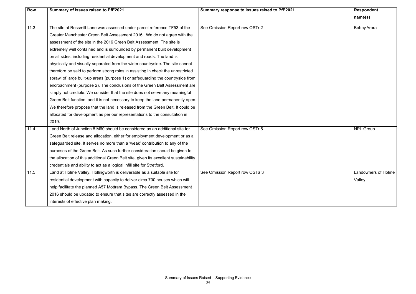| <b>Row</b> | Summary of issues raised to PfE2021                                                   | Summary response to issues raised to PfE2021 | <b>Respondent</b>   |
|------------|---------------------------------------------------------------------------------------|----------------------------------------------|---------------------|
|            |                                                                                       |                                              | name(s)             |
| 11.3       | The site at Rossmill Lane was assessed under parcel reference TF53 of the             | See Omission Report row OSTr.2               | <b>Bobby Arora</b>  |
|            | Greater Manchester Green Belt Assessment 2016. We do not agree with the               |                                              |                     |
|            | assessment of the site in the 2016 Green Belt Assessment. The site is                 |                                              |                     |
|            | extremely well contained and is surrounded by permanent built development             |                                              |                     |
|            | on all sides, including residential development and roads. The land is                |                                              |                     |
|            | physically and visually separated from the wider countryside. The site cannot         |                                              |                     |
|            | therefore be said to perform strong roles in assisting in check the unrestricted      |                                              |                     |
|            | sprawl of large built-up areas (purpose 1) or safeguarding the countryside from       |                                              |                     |
|            | encroachment (purpose 2). The conclusions of the Green Belt Assessment are            |                                              |                     |
|            | simply not credible. We consider that the site does not serve any meaningful          |                                              |                     |
|            | Green Belt function, and it is not necessary to keep the land permanently open.       |                                              |                     |
|            | We therefore propose that the land is released from the Green Belt. It could be       |                                              |                     |
|            | allocated for development as per our representations to the consultation in           |                                              |                     |
|            | 2019.                                                                                 |                                              |                     |
| 11.4       | Land North of Junction 8 M60 should be considered as an additional site for           | See Omission Report row OSTr.5               | <b>NPL Group</b>    |
|            | Green Belt release and allocation, either for employment development or as a          |                                              |                     |
|            | safeguarded site. It serves no more than a 'weak' contribution to any of the          |                                              |                     |
|            | purposes of the Green Belt. As such further consideration should be given to          |                                              |                     |
|            | the allocation of this additional Green Belt site, given its excellent sustainability |                                              |                     |
|            | credentials and ability to act as a logical infill site for Stretford.                |                                              |                     |
| 11.5       | Land at Holme Valley, Hollingworth is deliverable as a suitable site for              | See Omission Report row OSTa.3               | Landowners of Holme |
|            | residential development with capacity to deliver circa 700 houses which will          |                                              | Valley              |
|            | help facilitate the planned A57 Mottram Bypass. The Green Belt Assessment             |                                              |                     |
|            | 2016 should be updated to ensure that sites are correctly assessed in the             |                                              |                     |
|            | interests of effective plan making.                                                   |                                              |                     |

| <b>Respondent</b>          |
|----------------------------|
| name(s)                    |
| <b>Bobby Arora</b>         |
|                            |
|                            |
|                            |
|                            |
|                            |
|                            |
|                            |
|                            |
|                            |
|                            |
|                            |
| <b>NPL Group</b>           |
|                            |
|                            |
|                            |
|                            |
| <b>Landowners of Holme</b> |
| Valley                     |
|                            |
|                            |
|                            |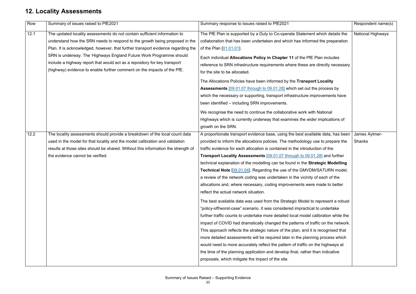#### **12. Locality Assessments**

| Row  | Summary of issues raised to PfE2021                                               | Summary response to issues raised to PfE2021                                        | Respondent name(s)       |
|------|-----------------------------------------------------------------------------------|-------------------------------------------------------------------------------------|--------------------------|
| 12.1 | The updated locality assessments do not contain sufficient information to         | The PfE Plan is supported by a Duty to Co-operate Statement which details the       | <b>National Highways</b> |
|      | understand how the SRN needs to respond to the growth being proposed in the       | collaboration that has been undertaken and which has informed the preparation       |                          |
|      | Plan. It is acknowledged, however, that further transport evidence regarding the  | of the Plan [01.01.01].                                                             |                          |
|      | SRN is underway. The 'Highways England Future Work Programme should               | Each individual Allocations Policy in Chapter 11 of the PfE Plan includes           |                          |
|      | include a highway report that would act as a repository for key transport         | reference to SRN infrastructure requirements where these are directly necessary     |                          |
|      | (highway) evidence to enable further comment on the impacts of the PfE.           | for the site to be allocated.                                                       |                          |
|      |                                                                                   | The Allocations Policies have been informed by the Transport Locality               |                          |
|      |                                                                                   | <b>Assessments</b> [09.01.07 through to 09.01.28] which set out the process by      |                          |
|      |                                                                                   | which the necessary or supporting, transport infrastructure improvements have       |                          |
|      |                                                                                   | been identified - including SRN improvements.                                       |                          |
|      |                                                                                   | We recognise the need to continue the collaborative work with National              |                          |
|      |                                                                                   | Highways which is currently underway that examines the wider implications of        |                          |
|      |                                                                                   | growth on the SRN.                                                                  |                          |
| 12.2 | The locality assessments should provide a breakdown of the local count data       | A proportionate transport evidence base, using the best available data, has been    | James Aylmer-            |
|      | used in the model for that locality and the model calibration and validation      | provided to inform the allocations policies. The methodology use to prepare the     | <b>Shanks</b>            |
|      | results at those sites should be shared. Without this information the strength of | traffic evidence for each allocation is contained in the introduction of the        |                          |
|      | the evidence cannot be verified.                                                  | Transport Locality Assessments [09.01.07 through to 09.01.28] and further           |                          |
|      |                                                                                   | technical explanation of the modelling can be found in the Strategic Modelling      |                          |
|      |                                                                                   | <b>Technical Note [09.01.04].</b> Regarding the use of the GMVDM/SATURN model,      |                          |
|      |                                                                                   | a review of the network coding was undertaken in the vicinity of each of the        |                          |
|      |                                                                                   | allocations and, where necessary, coding improvements were made to better           |                          |
|      |                                                                                   | reflect the actual network situation.                                               |                          |
|      |                                                                                   | The best available data was used from the Strategic Model to represent a robust     |                          |
|      |                                                                                   | "policy-off/worst-case" scenario. It was considered impractical to undertake        |                          |
|      |                                                                                   | further traffic counts to undertake more detailed local model calibration while the |                          |
|      |                                                                                   | impact of COVID had dramatically changed the patterns of traffic on the network.    |                          |
|      |                                                                                   | This approach reflects the strategic nature of the plan, and it is recognised that  |                          |
|      |                                                                                   | more detailed assessments will be required later in the planning process which      |                          |
|      |                                                                                   | would need to more accurately reflect the pattern of traffic on the highways at     |                          |
|      |                                                                                   | the time of the planning application and develop final, rather than indicative      |                          |
|      |                                                                                   | proposals, which mitigate the impact of the site.                                   |                          |
|      |                                                                                   |                                                                                     |                          |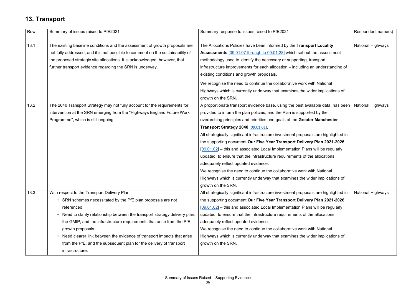#### **13. Transport**

| Row  | Summary of issues raised to PfE2021                                             | Summary response to issues raised to PfE2021                                         | Respondent name(s)       |
|------|---------------------------------------------------------------------------------|--------------------------------------------------------------------------------------|--------------------------|
|      |                                                                                 |                                                                                      |                          |
| 13.1 | The existing baseline conditions and the assessment of growth proposals are     | The Allocations Policies have been informed by the Transport Locality                | <b>National Highways</b> |
|      | not fully addressed, and it is not possible to comment on the sustainability of | Assessments [09.01.07 through to 09.01.28] which set out the assessment              |                          |
|      | the proposed strategic site allocations. It is acknowledged, however, that      | methodology used to identify the necessary or supporting, transport                  |                          |
|      | further transport evidence regarding the SRN is underway.                       | infrastructure improvements for each allocation - including an understanding of      |                          |
|      |                                                                                 | existing conditions and growth proposals.                                            |                          |
|      |                                                                                 | We recognise the need to continue the collaborative work with National               |                          |
|      |                                                                                 | Highways which is currently underway that examines the wider implications of         |                          |
|      |                                                                                 | growth on the SRN.                                                                   |                          |
| 13.2 | The 2040 Transport Strategy may not fully account for the requirements for      | A proportionate transport evidence base, using the best available data, has been     | <b>National Highways</b> |
|      | intervention at the SRN emerging from the "Highways England Future Work         | provided to inform the plan policies, and the Plan is supported by the               |                          |
|      | Programme", which is still ongoing.                                             | overarching principles and priorities and goals of the Greater Manchester            |                          |
|      |                                                                                 | Transport Strategy 2040 [09.01.01]                                                   |                          |
|      |                                                                                 | All strategically significant infrastructure investment proposals are highlighted in |                          |
|      |                                                                                 | the supporting document Our Five Year Transport Delivery Plan 2021-2026              |                          |
|      |                                                                                 | $[09.01.02]$ – this and associated Local Implementation Plans will be regularly      |                          |
|      |                                                                                 | updated, to ensure that the infrastructure requirements of the allocations           |                          |
|      |                                                                                 | adequately reflect updated evidence.                                                 |                          |
|      |                                                                                 | We recognise the need to continue the collaborative work with National               |                          |
|      |                                                                                 | Highways which is currently underway that examines the wider implications of         |                          |
|      |                                                                                 | growth on the SRN.                                                                   |                          |
| 13.3 | With respect to the Transport Delivery Plan:                                    | All strategically significant infrastructure investment proposals are highlighted in | National Highways        |
|      | • SRN schemes necessitated by the PfE plan proposals are not                    | the supporting document Our Five Year Transport Delivery Plan 2021-2026              |                          |
|      | referenced                                                                      | $[09.01.02]$ – this and associated Local Implementation Plans will be regularly      |                          |
|      | • Need to clarify relationship between the transport strategy delivery plan,    | updated, to ensure that the infrastructure requirements of the allocations           |                          |
|      | the GMIP, and the infrastructure requirements that arise from the PfE           | adequately reflect updated evidence.                                                 |                          |
|      | growth proposals                                                                | We recognise the need to continue the collaborative work with National               |                          |
|      | • Need clearer link between the evidence of transport impacts that arise        | Highways which is currently underway that examines the wider implications of         |                          |
|      | from the PfE, and the subsequent plan for the delivery of transport             | growth on the SRN.                                                                   |                          |
|      | infrastructure.                                                                 |                                                                                      |                          |
|      |                                                                                 |                                                                                      |                          |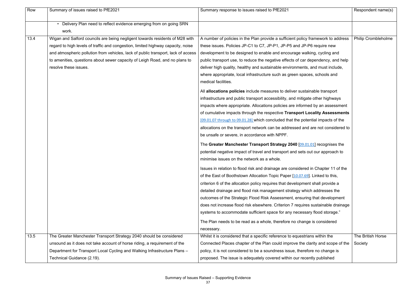| Row  | Summary of issues raised to PfE2021                                               | Summary response to issues raised to PfE2021                                      | Respondent name(s)         |
|------|-----------------------------------------------------------------------------------|-----------------------------------------------------------------------------------|----------------------------|
|      | Delivery Plan need to reflect evidence emerging from on going SRN<br>work.        |                                                                                   |                            |
| 13.4 | Wigan and Salford councils are being negligent towards residents of M28 with      | A number of policies in the Plan provide a sufficient policy framework to address | <b>Philip Crombleholme</b> |
|      | regard to high levels of traffic and congestion, limited highway capacity, noise  | these issues. Policies JP-C1 to C7, JP-P1, JP-P5 and JP-P6 require new            |                            |
|      | and atmospheric pollution from vehicles, lack of public transport, lack of access | development to be designed to enable and encourage walking, cycling and           |                            |
|      | to amenities, questions about sewer capacity of Leigh Road, and no plans to       | public transport use, to reduce the negative effects of car dependency, and help  |                            |
|      | resolve these issues.                                                             | deliver high quality, healthy and sustainable environments, and must include,     |                            |
|      |                                                                                   | where appropriate, local infrastructure such as green spaces, schools and         |                            |
|      |                                                                                   | medical facilities.                                                               |                            |
|      |                                                                                   | All allocations policies include measures to deliver sustainable transport        |                            |
|      |                                                                                   | infrastructure and public transport accessibility, and mitigate other highways    |                            |
|      |                                                                                   | impacts where appropriate. Allocations policies are informed by an assessment     |                            |
|      |                                                                                   | of cumulative impacts through the respective Transport Locality Assessments       |                            |
|      |                                                                                   | [09.01.07 through to 09.01.28] which concluded that the potential impacts of the  |                            |
|      |                                                                                   | allocations on the transport network can be addressed and are not considered to   |                            |
|      |                                                                                   | be unsafe or severe, in accordance with NPPF.                                     |                            |
|      |                                                                                   | The Greater Manchester Transport Strategy 2040 [09.01.01] recognises the          |                            |
|      |                                                                                   | potential negative impact of travel and transport and sets out our approach to    |                            |
|      |                                                                                   | minimise issues on the network as a whole.                                        |                            |
|      |                                                                                   | Issues in relation to flood risk and drainage are considered in Chapter 11 of the |                            |
|      |                                                                                   | of the East of Boothstown Allocation Topic Paper [10.07.69]. Linked to this,      |                            |
|      |                                                                                   | criterion 6 of the allocation policy requires that development shall provide a    |                            |
|      |                                                                                   | detailed drainage and flood risk management strategy which addresses the          |                            |
|      |                                                                                   | outcomes of the Strategic Flood Risk Assessment, ensuring that development        |                            |
|      |                                                                                   | does not increase flood risk elsewhere. Criterion 7 requires sustainable drainage |                            |
|      |                                                                                   | systems to accommodate sufficient space for any necessary flood storage."         |                            |
|      |                                                                                   | The Plan needs to be read as a whole, therefore no change is considered           |                            |
|      |                                                                                   | necessary.                                                                        |                            |
| 13.5 | The Greater Manchester Transport Strategy 2040 should be considered               | Whilst it is considered that a specific reference to equestrians within the       | The British Horse          |
|      | unsound as it does not take account of horse riding, a requirement of the         | Connected Places chapter of the Plan could improve the clarity and scope of the   | Society                    |
|      | Department for Transport Local Cycling and Walking Infrastructure Plans -         | policy, it is not considered to be a soundness issue, therefore no change is      |                            |
|      | Technical Guidance (2.19).                                                        | proposed. The issue is adequately covered within our recently published           |                            |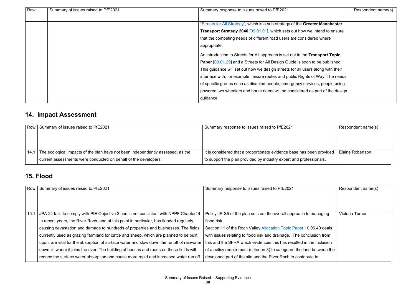| Row | Summary of issues raised to PfE2021 | Summary response to issues raised to PfE2021                                        | Respondent name(s) |
|-----|-------------------------------------|-------------------------------------------------------------------------------------|--------------------|
|     |                                     |                                                                                     |                    |
|     |                                     | "Streets for All Strategy", which is a sub-strategy of the Greater Manchester       |                    |
|     |                                     | Transport Strategy 2040 [09.01.01], which sets out how we intend to ensure          |                    |
|     |                                     | that the competing needs of different road users are considered where               |                    |
|     |                                     | appropriate.                                                                        |                    |
|     |                                     | An introduction to Streets for All approach is set out in the Transport Topic       |                    |
|     |                                     | <b>Paper [09.01.29]</b> and a Streets for All Design Guide is soon to be published. |                    |
|     |                                     | This guidance will set out how we design streets for all users along with their     |                    |
|     |                                     | interface with, for example, leisure routes and public Rights of Way. The needs     |                    |
|     |                                     | of specific groups such as disabled people, emergency services, people using        |                    |
|     |                                     | powered two wheelers and horse riders will be considered as part of the design      |                    |
|     |                                     | guidance.                                                                           |                    |

### **14. Impact Assessment**

| Row   Summary of issues raised to PfE2021                                       | Summary response to issues raised to PfE2021                          | Respondent name(s)      |
|---------------------------------------------------------------------------------|-----------------------------------------------------------------------|-------------------------|
|                                                                                 |                                                                       |                         |
|                                                                                 |                                                                       |                         |
|                                                                                 |                                                                       |                         |
| The ecological impacts of the plan have not been independently assessed, as the | It is considered that a proportionate evidence base has been provided | <b>Elaine Robertson</b> |
| current assessments were conducted on behalf of the developers.                 | to support the plan provided by industry expert and professionals.    |                         |

#### **15. Flood**

| Row  | Summary of issues raised to PfE2021                                                       | Summary response to issues raised to PfE2021                            | Respondent name(s) |
|------|-------------------------------------------------------------------------------------------|-------------------------------------------------------------------------|--------------------|
|      |                                                                                           |                                                                         |                    |
|      |                                                                                           |                                                                         |                    |
| 15.1 | JPA 24 fails to comply with PfE Objective 2 and is not consistent with NPPF Chapter14.    | Policy JP-S5 of the plan sets out the overall approach to managing      | Victoria Turner    |
|      | In recent years, the River Roch, and at this point in particular, has flooded regularly,  | flood risk.                                                             |                    |
|      | causing devastation and damage to hundreds of properties and businesses. The fields,      | Section 11 of the Roch Valley Allocation Topic Paper 10.06.40 deals     |                    |
|      | currently used as grazing farmland for cattle and sheep, which are planned to be built    | with issues relating to flood risk and drainage. The conclusion from    |                    |
|      | upon, are vital for the absorption of surface water and slow down the runoff of rainwater | this and the SFRA which evidences this has resulted in the inclusion    |                    |
|      | downhill where it joins the river. The building of houses and roads on these fields will  | of a policy requirement (criterion 3) to safeguard the land between the |                    |
|      | reduce the surface water absorption and cause more rapid and increased water run off      | developed part of the site and the River Roch to contribute to          |                    |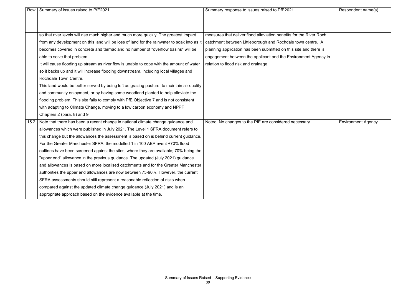| Row  | Summary of issues raised to PfE2021                                                         | Summary response to issues raised to PfE2021                        | Respondent name(s)        |
|------|---------------------------------------------------------------------------------------------|---------------------------------------------------------------------|---------------------------|
|      |                                                                                             |                                                                     |                           |
|      |                                                                                             |                                                                     |                           |
|      | so that river levels will rise much higher and much more quickly. The greatest impact       | measures that deliver flood alleviation benefits for the River Roch |                           |
|      | from any development on this land will be loss of land for the rainwater to soak into as it | catchment between Littleborough and Rochdale town centre. A         |                           |
|      | becomes covered in concrete and tarmac and no number of "overflow basins" will be           | planning application has been submitted on this site and there is   |                           |
|      | able to solve that problem!                                                                 | engagement between the applicant and the Environment Agency in      |                           |
|      | It will cause flooding up stream as river flow is unable to cope with the amount of water   | relation to flood risk and drainage.                                |                           |
|      | so it backs up and it will increase flooding downstream, including local villages and       |                                                                     |                           |
|      | Rochdale Town Centre.                                                                       |                                                                     |                           |
|      | This land would be better served by being left as grazing pasture, to maintain air quality  |                                                                     |                           |
|      | and community enjoyment, or by having some woodland planted to help alleviate the           |                                                                     |                           |
|      | flooding problem. This site fails to comply with PfE Objective 7 and is not consistent      |                                                                     |                           |
|      | with adapting to Climate Change, moving to a low carbon economy and NPPF                    |                                                                     |                           |
|      | Chapters 2 (para. 8) and 9.                                                                 |                                                                     |                           |
| 15.2 | Note that there has been a recent change in national climate change guidance and            | Noted. No changes to the PfE are considered necessary.              | <b>Environment Agency</b> |
|      | allowances which were published in July 2021. The Level 1 SFRA document refers to           |                                                                     |                           |
|      | this change but the allowances the assessment is based on is behind current guidance.       |                                                                     |                           |
|      | For the Greater Manchester SFRA, the modelled 1 in 100 AEP event +70% flood                 |                                                                     |                           |
|      | outlines have been screened against the sites, where they are available; 70% being the      |                                                                     |                           |
|      | "upper end" allowance in the previous guidance. The updated (July 2021) guidance            |                                                                     |                           |
|      | and allowances is based on more localised catchments and for the Greater Manchester         |                                                                     |                           |
|      | authorities the upper end allowances are now between 75-90%. However, the current           |                                                                     |                           |
|      | SFRA assessments should still represent a reasonable reflection of risks when               |                                                                     |                           |
|      | compared against the updated climate change guidance (July 2021) and is an                  |                                                                     |                           |
|      | appropriate approach based on the evidence available at the time.                           |                                                                     |                           |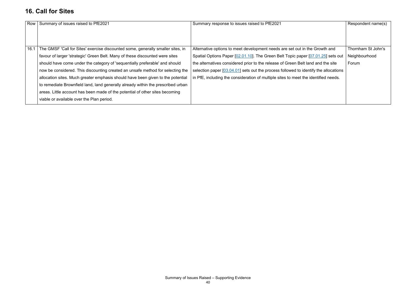#### **16. Call for Sites**

| Row  | Summary of issues raised to PfE2021                                                                                                                                                                                                                                                                                                                                                                                                                                                                                                                                                                                                  | Summary response to issues raised to PfE2021                                                                                                                                                                                                                                                                                                                                                                                         | Respondent name(s)                           |
|------|--------------------------------------------------------------------------------------------------------------------------------------------------------------------------------------------------------------------------------------------------------------------------------------------------------------------------------------------------------------------------------------------------------------------------------------------------------------------------------------------------------------------------------------------------------------------------------------------------------------------------------------|--------------------------------------------------------------------------------------------------------------------------------------------------------------------------------------------------------------------------------------------------------------------------------------------------------------------------------------------------------------------------------------------------------------------------------------|----------------------------------------------|
| 16.1 | The GMSF 'Call for Sites' exercise discounted some, generally smaller sites, in<br>favour of larger 'strategic' Green Belt. Many of these discounted were sites<br>should have come under the category of 'sequentially preferable' and should<br>now be considered. This discounting created an unsafe method for selecting the<br>allocation sites. Much greater emphasis should have been given to the potential<br>to remediate Brownfield land, land generally already within the prescribed urban<br>areas. Little account has been made of the potential of other sites becoming<br>viable or available over the Plan period. | Alternative options to meet development needs are set out in the Growth and<br>Spatial Options Paper [02.01.10]. The Green Belt Topic paper [07.01.25] sets out<br>the alternatives considered prior to the release of Green Belt land and the site<br>selection paper $[03.04.01]$ sets out the process followed to identify the allocations<br>in PfE, including the consideration of multiple sites to meet the identified needs. | Thornham St John's<br>Neighbourhood<br>Forum |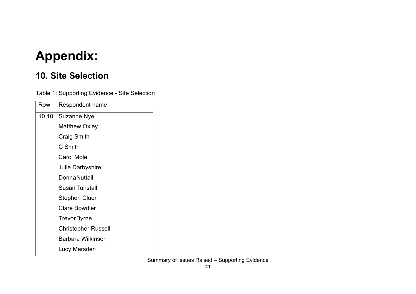## **Appendix:**

#### **10. Site Selection**

Table 1: Supporting Evidence - Site Selection

| Row   | Respondent name            |
|-------|----------------------------|
| 10.10 | <b>Suzanne Nye</b>         |
|       | <b>Matthew Oxley</b>       |
|       | Craig Smith                |
|       | C Smith                    |
|       | <b>Carol Mole</b>          |
|       | Julie Darbyshire           |
|       | <b>DonnaNuttall</b>        |
|       | <b>Susan Tunstall</b>      |
|       | <b>Stephen Cluer</b>       |
|       | <b>Clare Bowdler</b>       |
|       | <b>TrevorByrne</b>         |
|       | <b>Christopher Russell</b> |
|       | <b>Barbara Wilkinson</b>   |
|       | Lucy Marsden               |
|       |                            |

Summary of Issues Raised – Supporting Evidence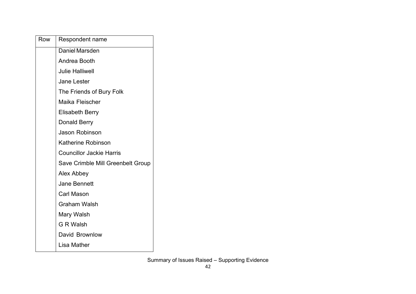| Row | Respondent name                   |
|-----|-----------------------------------|
|     | Daniel Marsden                    |
|     | Andrea Booth                      |
|     | <b>Julie Halliwell</b>            |
|     | <b>Jane Lester</b>                |
|     | The Friends of Bury Folk          |
|     | Maika Fleischer                   |
|     | <b>Elisabeth Berry</b>            |
|     | Donald Berry                      |
|     | <b>Jason Robinson</b>             |
|     | <b>Katherine Robinson</b>         |
|     | <b>Councillor Jackie Harris</b>   |
|     | Save Crimble Mill Greenbelt Group |
|     | Alex Abbey                        |
|     | <b>Jane Bennett</b>               |
|     | <b>Carl Mason</b>                 |
|     | <b>Graham Walsh</b>               |
|     | Mary Walsh                        |
|     | <b>G R Walsh</b>                  |
|     | David Brownlow                    |
|     | Lisa Mather                       |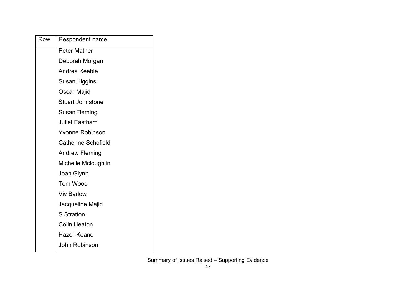| Row | Respondent name            |
|-----|----------------------------|
|     | <b>Peter Mather</b>        |
|     | Deborah Morgan             |
|     | Andrea Keeble              |
|     | Susan Higgins              |
|     | Oscar Majid                |
|     | <b>Stuart Johnstone</b>    |
|     | Susan Fleming              |
|     | <b>Juliet Eastham</b>      |
|     | <b>Yvonne Robinson</b>     |
|     | <b>Catherine Schofield</b> |
|     | <b>Andrew Fleming</b>      |
|     | Michelle Mcloughlin        |
|     | Joan Glynn                 |
|     | <b>Tom Wood</b>            |
|     | <b>Viv Barlow</b>          |
|     | Jacqueline Majid           |
|     | <b>S</b> Stratton          |
|     | <b>Colin Heaton</b>        |
|     | Hazel Keane                |
|     | John Robinson              |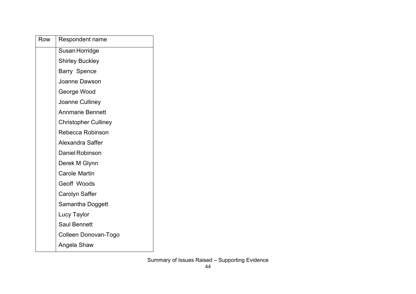| Row | Respondent name             |
|-----|-----------------------------|
|     | Susan Horridge              |
|     | <b>Shirley Buckley</b>      |
|     | <b>Barry Spence</b>         |
|     | Joanne Dawson               |
|     | George Wood                 |
|     | Joanne Culliney             |
|     | <b>Annmarie Bennett</b>     |
|     | <b>Christopher Culliney</b> |
|     | Rebecca Robinson            |
|     | <b>Alexandra Saffer</b>     |
|     | <b>Daniel Robinson</b>      |
|     | Derek M Glynn               |
|     | <b>Carole Martin</b>        |
|     | Geoff Woods                 |
|     | Carolyn Saffer              |
|     | Samantha Doggett            |
|     | Lucy Taylor                 |
|     | <b>Saul Bennett</b>         |
|     | Colleen Donovan-Togo        |
|     | Angela Shaw                 |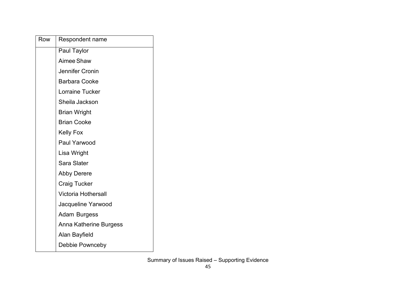| Row | Respondent name            |
|-----|----------------------------|
|     | Paul Taylor                |
|     | Aimee Shaw                 |
|     | Jennifer Cronin            |
|     | <b>Barbara Cooke</b>       |
|     | Lorraine Tucker            |
|     | Sheila Jackson             |
|     | <b>Brian Wright</b>        |
|     | <b>Brian Cooke</b>         |
|     | <b>Kelly Fox</b>           |
|     | Paul Yarwood               |
|     | Lisa Wright                |
|     | Sara Slater                |
|     | <b>Abby Derere</b>         |
|     | <b>Craig Tucker</b>        |
|     | <b>Victoria Hothersall</b> |
|     | Jacqueline Yarwood         |
|     | <b>Adam Burgess</b>        |
|     | Anna Katherine Burgess     |
|     | Alan Bayfield              |
|     | Debbie Pownceby            |